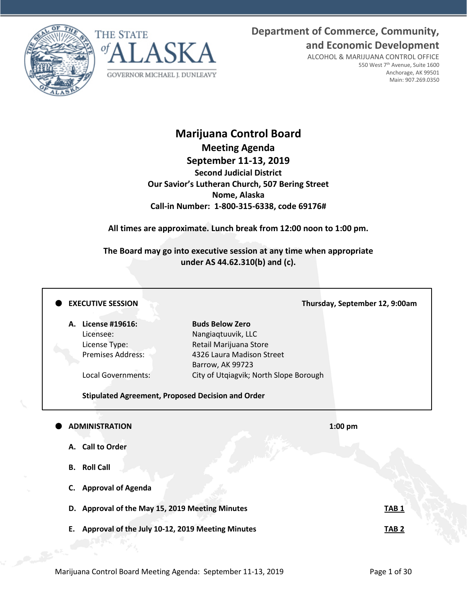**Department of Commerce, Community, and Economic Development**





ALCOHOL & MARIJUANA CONTROL OFFICE 550 West 7th Avenue, Suite 1600 Anchorage, AK 99501 Main: 907.269.0350

# **Marijuana Control Board Meeting Agenda September 11-13, 2019 Second Judicial District Our Savior's Lutheran Church, 507 Bering Street Nome, Alaska Call-in Number: 1-800-315-6338, code 69176#**

**All times are approximate. Lunch break from 12:00 noon to 1:00 pm.**

**The Board may go into executive session at any time when appropriate under AS 44.62.310(b) and (c).**

### **EXECUTIVE SESSION Thursday, September 12, 9:00am**

**A. License #19616: Buds Below Zero** Licensee: Nangiaqtuuvik, LLC

License Type: Retail Marijuana Store Premises Address: 4326 Laura Madison Street Barrow, AK 99723 Local Governments: City of Utqiagvik; North Slope Borough

**Stipulated Agreement, Proposed Decision and Order**

### **ADMINISTRATION 1:00 pm**

- **A. Call to Order**
- **B. Roll Call**
- **C. Approval of Agenda**
- **D. Approval of the May 15, 2019 Meeting Minutes TAB 1**
- **E. Approval of the July 10-12, 2019 Meeting Minutes TAB 2**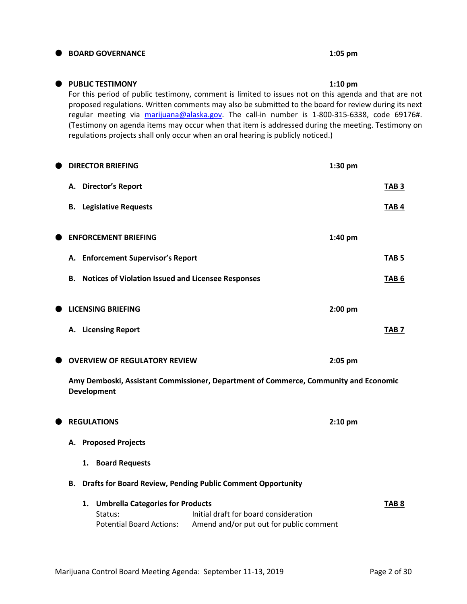# **BOARD GOVERNANCE 1:05 pm**

# **PUBLIC TESTIMONY 1:10 pm**

For this period of public testimony, comment is limited to issues not on this agenda and that are not proposed regulations. Written comments may also be submitted to the board for review during its next regular meeting via [marijuana@alaska.gov.](mailto:marijuana@alaska.gov) The call-in number is 1-800-315-6338, code 69176#. (Testimony on agenda items may occur when that item is addressed during the meeting. Testimony on regulations projects shall only occur when an oral hearing is publicly noticed.)

| TAB <sub>3</sub><br>TAB <sub>4</sub><br>1:40 pm<br>TAB <sub>5</sub><br>TAB <sub>6</sub><br>$2:00$ pm<br>TAB <sub>7</sub> |
|--------------------------------------------------------------------------------------------------------------------------|
|                                                                                                                          |
|                                                                                                                          |
|                                                                                                                          |
|                                                                                                                          |
|                                                                                                                          |
|                                                                                                                          |
|                                                                                                                          |
| 2:05 pm<br>Amy Demboski, Assistant Commissioner, Department of Commerce, Community and Economic                          |
| $2:10$ pm                                                                                                                |
|                                                                                                                          |
|                                                                                                                          |
|                                                                                                                          |
|                                                                                                                          |
|                                                                                                                          |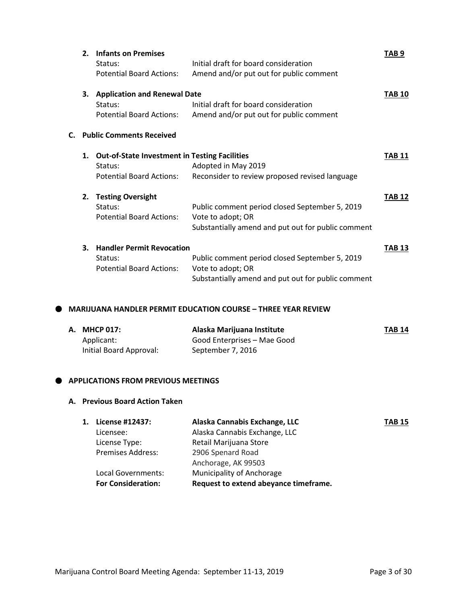|    | 2. | <b>Infants on Premises</b><br>Status:<br><b>Potential Board Actions:</b>                           | Initial draft for board consideration<br>Amend and/or put out for public comment                                          | TAB 9         |
|----|----|----------------------------------------------------------------------------------------------------|---------------------------------------------------------------------------------------------------------------------------|---------------|
|    | 3. | <b>Application and Renewal Date</b><br>Status:<br><b>Potential Board Actions:</b>                  | Initial draft for board consideration<br>Amend and/or put out for public comment                                          | <b>TAB 10</b> |
| C. |    | <b>Public Comments Received</b>                                                                    |                                                                                                                           |               |
|    | 1. | <b>Out-of-State Investment in Testing Facilities</b><br>Status:<br><b>Potential Board Actions:</b> | Adopted in May 2019<br>Reconsider to review proposed revised language                                                     | <b>TAB 11</b> |
|    | 2. | <b>Testing Oversight</b><br>Status:<br><b>Potential Board Actions:</b>                             | Public comment period closed September 5, 2019<br>Vote to adopt; OR<br>Substantially amend and put out for public comment | <b>TAB 12</b> |
|    | З. | <b>Handler Permit Revocation</b><br>Status:<br><b>Potential Board Actions:</b>                     | Public comment period closed September 5, 2019<br>Vote to adopt; OR<br>Substantially amend and put out for public comment | <b>TAB 13</b> |

### **MARIJUANA HANDLER PERMIT EDUCATION COURSE – THREE YEAR REVIEW**

| A. MHCP 017:            | Alaska Marijuana Institute  | <b>TAB 14</b> |
|-------------------------|-----------------------------|---------------|
| Applicant:              | Good Enterprises – Mae Good |               |
| Initial Board Approval: | September 7, 2016           |               |

#### $\bullet$  APPLICATIONS FROM PREVIOUS MEETINGS

#### **A. Previous Board Action Taken**

| 1. License #12437:        | Alaska Cannabis Exchange, LLC         | <b>TAB 15</b> |
|---------------------------|---------------------------------------|---------------|
| Licensee:                 | Alaska Cannabis Exchange, LLC         |               |
| License Type:             | Retail Marijuana Store                |               |
| <b>Premises Address:</b>  | 2906 Spenard Road                     |               |
|                           | Anchorage, AK 99503                   |               |
| Local Governments:        | Municipality of Anchorage             |               |
| <b>For Consideration:</b> | Request to extend abeyance timeframe. |               |
|                           |                                       |               |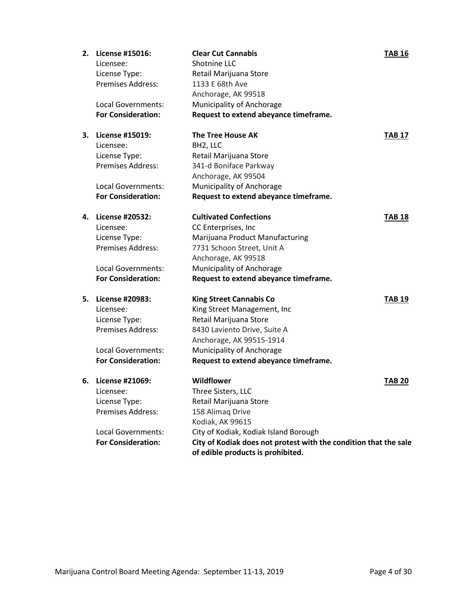| 2. | License #15016:                    | <b>Clear Cut Cannabis</b>                                        | <b>TAB 16</b> |
|----|------------------------------------|------------------------------------------------------------------|---------------|
|    | Licensee:                          | Shotnine LLC                                                     |               |
|    | License Type:<br>Premises Address: | Retail Marijuana Store<br>1133 E 68th Ave                        |               |
|    |                                    |                                                                  |               |
|    |                                    | Anchorage, AK 99518                                              |               |
|    | Local Governments:                 | Municipality of Anchorage                                        |               |
|    | <b>For Consideration:</b>          | Request to extend abeyance timeframe.                            |               |
| 3. | <b>License #15019:</b>             | <b>The Tree House AK</b>                                         | <b>TAB 17</b> |
|    | Licensee:                          | BH2, LLC                                                         |               |
|    | License Type:                      | Retail Marijuana Store                                           |               |
|    | <b>Premises Address:</b>           | 341-d Boniface Parkway                                           |               |
|    |                                    | Anchorage, AK 99504                                              |               |
|    | Local Governments:                 | Municipality of Anchorage                                        |               |
|    | <b>For Consideration:</b>          | Request to extend abeyance timeframe.                            |               |
| 4. | License #20532:                    | <b>Cultivated Confections</b>                                    | <b>TAB 18</b> |
|    | Licensee:                          | CC Enterprises, Inc                                              |               |
|    | License Type:                      | Marijuana Product Manufacturing                                  |               |
|    | <b>Premises Address:</b>           | 7731 Schoon Street, Unit A                                       |               |
|    |                                    | Anchorage, AK 99518                                              |               |
|    | Local Governments:                 | Municipality of Anchorage                                        |               |
|    | <b>For Consideration:</b>          | Request to extend abeyance timeframe.                            |               |
| 5. | License #20983:                    | <b>King Street Cannabis Co</b>                                   | <b>TAB 19</b> |
|    | Licensee:                          | King Street Management, Inc                                      |               |
|    | License Type:                      | Retail Marijuana Store                                           |               |
|    | <b>Premises Address:</b>           | 8430 Laviento Drive, Suite A                                     |               |
|    |                                    | Anchorage, AK 99515-1914                                         |               |
|    | Local Governments:                 | Municipality of Anchorage                                        |               |
|    | <b>For Consideration:</b>          | Request to extend abeyance timeframe.                            |               |
| 6. | License #21069:                    | <b>Wildflower</b>                                                | <b>TAB 20</b> |
|    | Licensee:                          | Three Sisters, LLC                                               |               |
|    | License Type:                      | Retail Marijuana Store                                           |               |
|    | Premises Address:                  | 158 Alimag Drive                                                 |               |
|    |                                    | Kodiak, AK 99615                                                 |               |
|    | <b>Local Governments:</b>          | City of Kodiak, Kodiak Island Borough                            |               |
|    | <b>For Consideration:</b>          | City of Kodiak does not protest with the condition that the sale |               |
|    |                                    | of edible products is prohibited.                                |               |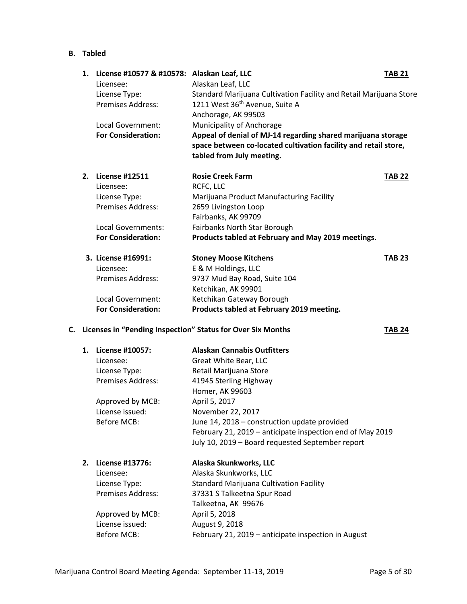### **B. Tabled**

| 1. | License #10577 & #10578: Alaskan Leaf, LLC<br>Licensee: | Alaskan Leaf, LLC                                                                                                                                            | <b>TAB 21</b> |
|----|---------------------------------------------------------|--------------------------------------------------------------------------------------------------------------------------------------------------------------|---------------|
|    | License Type:                                           | Standard Marijuana Cultivation Facility and Retail Marijuana Store                                                                                           |               |
|    | Premises Address:                                       | 1211 West 36 <sup>th</sup> Avenue, Suite A                                                                                                                   |               |
|    |                                                         | Anchorage, AK 99503                                                                                                                                          |               |
|    | Local Government:                                       | Municipality of Anchorage                                                                                                                                    |               |
|    | <b>For Consideration:</b>                               | Appeal of denial of MJ-14 regarding shared marijuana storage<br>space between co-located cultivation facility and retail store,<br>tabled from July meeting. |               |
| 2. | <b>License #12511</b>                                   | <b>Rosie Creek Farm</b>                                                                                                                                      | <b>TAB 22</b> |
|    | Licensee:                                               | RCFC, LLC                                                                                                                                                    |               |
|    | License Type:                                           | Marijuana Product Manufacturing Facility                                                                                                                     |               |
|    | Premises Address:                                       | 2659 Livingston Loop                                                                                                                                         |               |
|    |                                                         | Fairbanks, AK 99709                                                                                                                                          |               |
|    | Local Governments:                                      | Fairbanks North Star Borough                                                                                                                                 |               |
|    | <b>For Consideration:</b>                               | Products tabled at February and May 2019 meetings.                                                                                                           |               |
|    | 3. License #16991:                                      | <b>Stoney Moose Kitchens</b>                                                                                                                                 | <b>TAB 23</b> |
|    | Licensee:                                               | E & M Holdings, LLC                                                                                                                                          |               |
|    | Premises Address:                                       | 9737 Mud Bay Road, Suite 104                                                                                                                                 |               |
|    |                                                         | Ketchikan, AK 99901                                                                                                                                          |               |
|    | Local Government:                                       | Ketchikan Gateway Borough                                                                                                                                    |               |
|    | <b>For Consideration:</b>                               | Products tabled at February 2019 meeting.                                                                                                                    |               |

# **C.** Licenses in "Pending Inspection" Status for Over Six Months **TAB 24**

| 1. | License #10057:<br>Licensee:<br>License Type:<br>Premises Address:<br>Approved by MCB:<br>License issued:<br>Before MCB:        | <b>Alaskan Cannabis Outfitters</b><br>Great White Bear, LLC<br>Retail Marijuana Store<br>41945 Sterling Highway<br>Homer, AK 99603<br>April 5, 2017<br>November 22, 2017<br>June 14, 2018 – construction update provided<br>February 21, 2019 – anticipate inspection end of May 2019<br>July 10, 2019 - Board requested September report |
|----|---------------------------------------------------------------------------------------------------------------------------------|-------------------------------------------------------------------------------------------------------------------------------------------------------------------------------------------------------------------------------------------------------------------------------------------------------------------------------------------|
| 2. | License #13776:<br>Licensee:<br>License Type:<br><b>Premises Address:</b><br>Approved by MCB:<br>License issued:<br>Before MCB: | Alaska Skunkworks, LLC<br>Alaska Skunkworks, LLC<br><b>Standard Marijuana Cultivation Facility</b><br>37331 S Talkeetna Spur Road<br>Talkeetna, AK 99676<br>April 5, 2018<br>August 9, 2018<br>February 21, 2019 - anticipate inspection in August                                                                                        |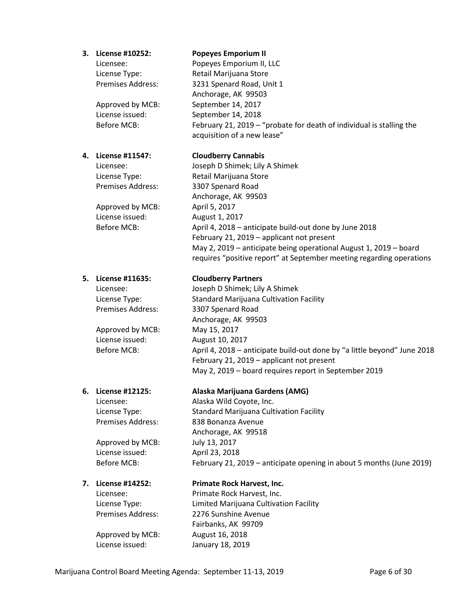# **3. License #10252: Popeyes Emporium II** Licensee: Popeyes Emporium II, LLC License Type: Retail Marijuana Store Premises Address: 3231 Spenard Road, Unit 1 Anchorage, AK 99503 Approved by MCB: September 14, 2017 License issued: September 14, 2018 Before MCB: February 21, 2019 – "probate for death of individual is stalling the acquisition of a new lease" **4. License #11547: Cloudberry Cannabis** Licensee: Joseph D Shimek; Lily A Shimek License Type: Retail Marijuana Store Premises Address: 3307 Spenard Road Anchorage, AK 99503 Approved by MCB: April 5, 2017 License issued: August 1, 2017 Before MCB: April 4, 2018 – anticipate build-out done by June 2018 February 21, 2019 – applicant not present May 2, 2019 – anticipate being operational August 1, 2019 – board requires "positive report" at September meeting regarding operations

#### **5. License #11635: Cloudberry Partners**

Licensee: Joseph D Shimek; Lily A Shimek License Type: Standard Marijuana Cultivation Facility Premises Address: 3307 Spenard Road Anchorage, AK 99503 Approved by MCB: May 15, 2017 License issued: August 10, 2017 Before MCB: April 4, 2018 – anticipate build-out done by "a little beyond" June 2018 February 21, 2019 – applicant not present May 2, 2019 – board requires report in September 2019

#### **6. License #12125: Alaska Marijuana Gardens (AMG)**

Licensee: Alaska Wild Coyote, Inc. License Type: Standard Marijuana Cultivation Facility Premises Address: 838 Bonanza Avenue Anchorage, AK 99518 Approved by MCB: July 13, 2017 License issued: April 23, 2018 Before MCB: February 21, 2019 – anticipate opening in about 5 months (June 2019)

### **7. License #14252: Primate Rock Harvest, Inc.**

Licensee: Primate Rock Harvest, Inc. License Type: Limited Marijuana Cultivation Facility Premises Address: 2276 Sunshine Avenue Fairbanks, AK 99709 Approved by MCB: August 16, 2018 License issued: January 18, 2019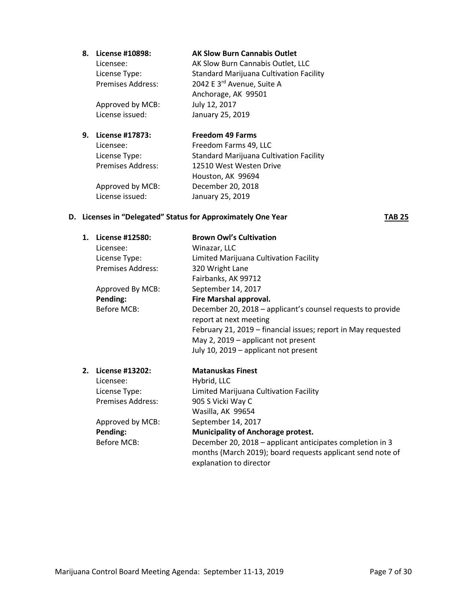| 8. License #10898:       | <b>AK Slow Burn Cannabis Outlet</b>            |
|--------------------------|------------------------------------------------|
| Licensee:                | AK Slow Burn Cannabis Outlet, LLC              |
| License Type:            | <b>Standard Marijuana Cultivation Facility</b> |
| <b>Premises Address:</b> | 2042 E 3rd Avenue, Suite A                     |
|                          | Anchorage, AK 99501                            |
| Approved by MCB:         | July 12, 2017                                  |

#### **9. License #17873: Freedom 49 Farms**

Licensee: Freedom Farms 49, LLC License Type: Standard Marijuana Cultivation Facility Premises Address: 12510 West Westen Drive Houston, AK 99694 Approved by MCB: December 20, 2018 License issued: January 25, 2019

### **D.** Licenses in "Delegated" Status for Approximately One Year **TAB 25**

License issued: January 25, 2019

**1. License #12580: Brown Owl's Cultivation** Licensee: Winazar, LLC License Type: Limited Marijuana Cultivation Facility Premises Address: 320 Wright Lane Fairbanks, AK 99712 Approved By MCB: September 14, 2017 **Pending: Fire Marshal approval.**  Before MCB: December 20, 2018 – applicant's counsel requests to provide report at next meeting February 21, 2019 – financial issues; report in May requested May 2, 2019 – applicant not present July 10, 2019 – applicant not present **2. License #13202: Matanuskas Finest** Licensee: Hybrid, LLC License Type: Limited Marijuana Cultivation Facility Premises Address: 905 S Vicki Way C Wasilla, AK 99654 Approved by MCB: September 14, 2017 **Pending: Municipality of Anchorage protest.** Before MCB: December 20, 2018 – applicant anticipates completion in 3 months (March 2019); board requests applicant send note of

explanation to director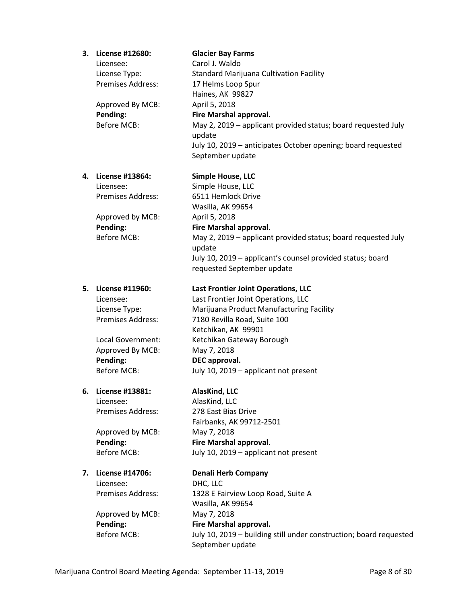|    | 3. License #12680:<br>Licensee:<br>License Type:<br><b>Premises Address:</b><br>Approved By MCB:<br>Pending:<br><b>Before MCB:</b> | <b>Glacier Bay Farms</b><br>Carol J. Waldo<br><b>Standard Marijuana Cultivation Facility</b><br>17 Helms Loop Spur<br>Haines, AK 99827<br>April 5, 2018<br>Fire Marshal approval.<br>May 2, 2019 – applicant provided status; board requested July<br>update<br>July 10, 2019 - anticipates October opening; board requested<br>September update |
|----|------------------------------------------------------------------------------------------------------------------------------------|--------------------------------------------------------------------------------------------------------------------------------------------------------------------------------------------------------------------------------------------------------------------------------------------------------------------------------------------------|
|    | 4. License #13864:                                                                                                                 | <b>Simple House, LLC</b>                                                                                                                                                                                                                                                                                                                         |
|    | Licensee:                                                                                                                          | Simple House, LLC                                                                                                                                                                                                                                                                                                                                |
|    | <b>Premises Address:</b>                                                                                                           | 6511 Hemlock Drive                                                                                                                                                                                                                                                                                                                               |
|    |                                                                                                                                    | Wasilla, AK 99654                                                                                                                                                                                                                                                                                                                                |
|    | Approved by MCB:                                                                                                                   | April 5, 2018                                                                                                                                                                                                                                                                                                                                    |
|    | Pending:                                                                                                                           | Fire Marshal approval.                                                                                                                                                                                                                                                                                                                           |
|    | <b>Before MCB:</b>                                                                                                                 | May 2, 2019 – applicant provided status; board requested July                                                                                                                                                                                                                                                                                    |
|    |                                                                                                                                    | update                                                                                                                                                                                                                                                                                                                                           |
|    |                                                                                                                                    | July 10, 2019 - applicant's counsel provided status; board                                                                                                                                                                                                                                                                                       |
|    |                                                                                                                                    | requested September update                                                                                                                                                                                                                                                                                                                       |
|    | 5. License #11960:                                                                                                                 | <b>Last Frontier Joint Operations, LLC</b>                                                                                                                                                                                                                                                                                                       |
|    | Licensee:                                                                                                                          | Last Frontier Joint Operations, LLC                                                                                                                                                                                                                                                                                                              |
|    | License Type:                                                                                                                      | Marijuana Product Manufacturing Facility                                                                                                                                                                                                                                                                                                         |
|    | <b>Premises Address:</b>                                                                                                           | 7180 Revilla Road, Suite 100                                                                                                                                                                                                                                                                                                                     |
|    |                                                                                                                                    | Ketchikan, AK 99901                                                                                                                                                                                                                                                                                                                              |
|    | Local Government:                                                                                                                  | Ketchikan Gateway Borough                                                                                                                                                                                                                                                                                                                        |
|    | Approved By MCB:                                                                                                                   | May 7, 2018                                                                                                                                                                                                                                                                                                                                      |
|    | Pending:                                                                                                                           | DEC approval.                                                                                                                                                                                                                                                                                                                                    |
|    | <b>Before MCB:</b>                                                                                                                 | July 10, 2019 - applicant not present                                                                                                                                                                                                                                                                                                            |
| 6. | License #13881:                                                                                                                    | AlasKind, LLC                                                                                                                                                                                                                                                                                                                                    |
|    | Licensee:                                                                                                                          | AlasKind, LLC                                                                                                                                                                                                                                                                                                                                    |
|    | <b>Premises Address:</b>                                                                                                           | 278 East Bias Drive                                                                                                                                                                                                                                                                                                                              |
|    |                                                                                                                                    | Fairbanks, AK 99712-2501                                                                                                                                                                                                                                                                                                                         |
|    | Approved by MCB:                                                                                                                   | May 7, 2018                                                                                                                                                                                                                                                                                                                                      |
|    | Pending:                                                                                                                           | Fire Marshal approval.                                                                                                                                                                                                                                                                                                                           |
|    | <b>Before MCB:</b>                                                                                                                 | July 10, 2019 - applicant not present                                                                                                                                                                                                                                                                                                            |
|    |                                                                                                                                    |                                                                                                                                                                                                                                                                                                                                                  |
| 7. | License #14706:                                                                                                                    | <b>Denali Herb Company</b>                                                                                                                                                                                                                                                                                                                       |
|    | Licensee:                                                                                                                          | DHC, LLC                                                                                                                                                                                                                                                                                                                                         |
|    | <b>Premises Address:</b>                                                                                                           | 1328 E Fairview Loop Road, Suite A                                                                                                                                                                                                                                                                                                               |
|    |                                                                                                                                    | Wasilla, AK 99654                                                                                                                                                                                                                                                                                                                                |
|    | Approved by MCB:                                                                                                                   | May 7, 2018                                                                                                                                                                                                                                                                                                                                      |
|    | Pending:                                                                                                                           | Fire Marshal approval.                                                                                                                                                                                                                                                                                                                           |
|    | <b>Before MCB:</b>                                                                                                                 | July 10, 2019 - building still under construction; board requested                                                                                                                                                                                                                                                                               |
|    |                                                                                                                                    | September update                                                                                                                                                                                                                                                                                                                                 |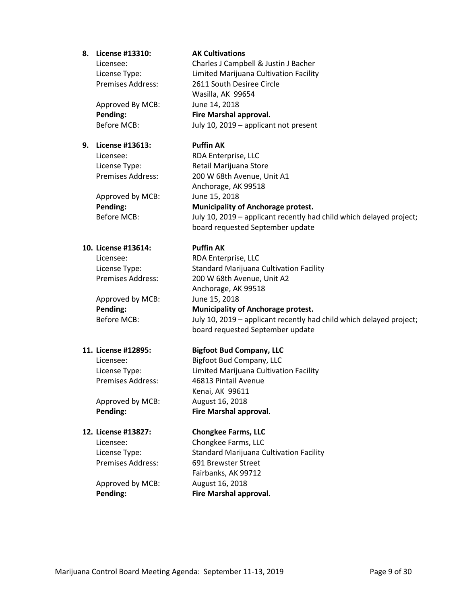#### **8. License #13310: AK Cultivations**

Approved By MCB: June 14, 2018

### **9. License #13613: Puffin AK**

Approved by MCB: June 15, 2018

### **10. License #13614: Puffin AK**

Approved by MCB: June 15, 2018

Approved by MCB: August 16, 2018

Licensee: Charles J Campbell & Justin J Bacher License Type: Limited Marijuana Cultivation Facility Premises Address: 2611 South Desiree Circle Wasilla, AK 99654 **Pending: Fire Marshal approval.** Before MCB: July 10, 2019 – applicant not present

Licensee: RDA Enterprise, LLC License Type: Retail Marijuana Store Premises Address: 200 W 68th Avenue, Unit A1 Anchorage, AK 99518 **Pending: Municipality of Anchorage protest.** Before MCB: July 10, 2019 – applicant recently had child which delayed project; board requested September update

Licensee: RDA Enterprise, LLC License Type: Standard Marijuana Cultivation Facility Premises Address: 200 W 68th Avenue, Unit A2 Anchorage, AK 99518 **Pending: Municipality of Anchorage protest.**

Before MCB: July 10, 2019 – applicant recently had child which delayed project; board requested September update

### **11. License #12895: Bigfoot Bud Company, LLC**

Licensee: Bigfoot Bud Company, LLC License Type: Limited Marijuana Cultivation Facility Premises Address: 46813 Pintail Avenue Kenai, AK 99611 **Pending: Fire Marshal approval.**

### **12. License #13827: Chongkee Farms, LLC**

Licensee: Chongkee Farms, LLC License Type: Standard Marijuana Cultivation Facility Premises Address: 691 Brewster Street Fairbanks, AK 99712 **Pending: Fire Marshal approval.**

Approved by MCB: August 16, 2018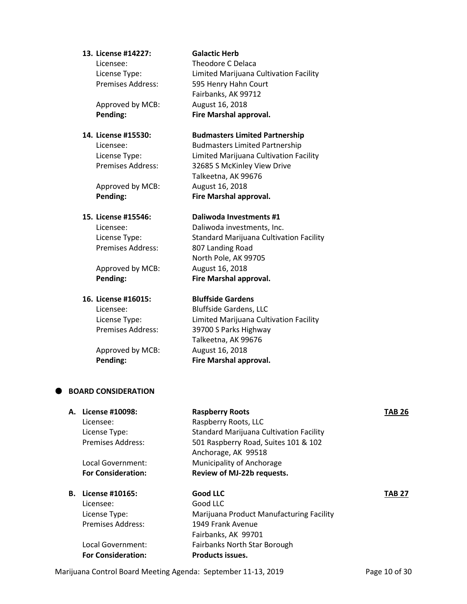#### **13. License #14227: Galactic Herb**

Approved by MCB: August 16, 2018

Approved by MCB: August 16, 2018

Premises Address: 807 Landing Road

Approved by MCB: August 16, 2018

# **16. License #16015: Bluffside Gardens**

Approved by MCB: August 16, 2018

Licensee: Theodore C Delaca License Type: Limited Marijuana Cultivation Facility Premises Address: 595 Henry Hahn Court Fairbanks, AK 99712 **Pending: Fire Marshal approval.**

### **14. License #15530: Budmasters Limited Partnership**

Licensee: Budmasters Limited Partnership License Type: Limited Marijuana Cultivation Facility Premises Address: 32685 S McKinley View Drive Talkeetna, AK 99676 **Pending: Fire Marshal approval.**

#### **15. License #15546: Daliwoda Investments #1**

Licensee: Daliwoda investments, Inc. License Type: Standard Marijuana Cultivation Facility North Pole, AK 99705 **Pending: Fire Marshal approval.**

Licensee: Bluffside Gardens, LLC License Type: Limited Marijuana Cultivation Facility Premises Address: 39700 S Parks Highway Talkeetna, AK 99676 **Pending: Fire Marshal approval.**

#### **BOARD CONSIDERATION**

| А. | License #10098:           | <b>Raspberry Roots</b>                         | TAB 26 |
|----|---------------------------|------------------------------------------------|--------|
|    | Licensee:                 | Raspberry Roots, LLC                           |        |
|    | License Type:             | <b>Standard Marijuana Cultivation Facility</b> |        |
|    | Premises Address:         | 501 Raspberry Road, Suites 101 & 102           |        |
|    |                           | Anchorage, AK 99518                            |        |
|    | Local Government:         | Municipality of Anchorage                      |        |
|    | <b>For Consideration:</b> | Review of MJ-22b requests.                     |        |
| В. | License #10165:           | Good LLC                                       | TAB 27 |
|    | Licensee:                 | Good LLC                                       |        |
|    | License Type:             | Marijuana Product Manufacturing Facility       |        |
|    | <b>Premises Address:</b>  | 1949 Frank Avenue                              |        |
|    |                           | Fairbanks, AK 99701                            |        |
|    | Local Government:         | <b>Fairbanks North Star Borough</b>            |        |
|    | <b>For Consideration:</b> | <b>Products issues.</b>                        |        |

Marijuana Control Board Meeting Agenda: September 11-13, 2019 Page 10 of 30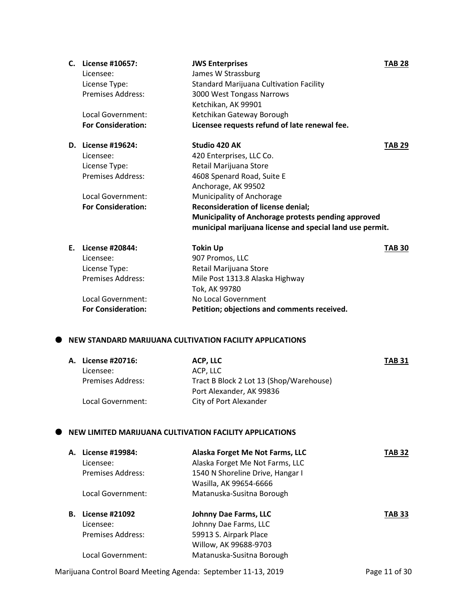|    | C. License #10657:        | <b>JWS Enterprises</b>                                   | <b>TAB 28</b> |
|----|---------------------------|----------------------------------------------------------|---------------|
|    | Licensee:                 | James W Strassburg                                       |               |
|    | License Type:             | <b>Standard Marijuana Cultivation Facility</b>           |               |
|    | Premises Address:         | 3000 West Tongass Narrows                                |               |
|    |                           | Ketchikan, AK 99901                                      |               |
|    | <b>Local Government:</b>  | Ketchikan Gateway Borough                                |               |
|    | <b>For Consideration:</b> | Licensee requests refund of late renewal fee.            |               |
|    | D. License #19624:        | Studio 420 AK                                            | <b>TAB 29</b> |
|    | Licensee:                 | 420 Enterprises, LLC Co.                                 |               |
|    | License Type:             | Retail Marijuana Store                                   |               |
|    | <b>Premises Address:</b>  | 4608 Spenard Road, Suite E                               |               |
|    |                           | Anchorage, AK 99502                                      |               |
|    | <b>Local Government:</b>  | Municipality of Anchorage                                |               |
|    | <b>For Consideration:</b> | Reconsideration of license denial;                       |               |
|    |                           | Municipality of Anchorage protests pending approved      |               |
|    |                           | municipal marijuana license and special land use permit. |               |
| F. | License #20844:           | <b>Tokin Up</b>                                          | <b>TAB 30</b> |
|    | Licensee:                 | 907 Promos, LLC                                          |               |
|    | License Type:             | Retail Marijuana Store                                   |               |
|    | Premises Address:         | Mile Post 1313.8 Alaska Highway                          |               |
|    |                           | Tok, AK 99780                                            |               |
|    | Local Government:         | No Local Government                                      |               |
|    | <b>For Consideration:</b> | Petition; objections and comments received.              |               |

### **NEW STANDARD MARIJUANA CULTIVATION FACILITY APPLICATIONS**

| A. License #20716:       | ACP, LLC                                | <b>TAB 31</b> |
|--------------------------|-----------------------------------------|---------------|
| Licensee:                | ACP, LLC                                |               |
| <b>Premises Address:</b> | Tract B Block 2 Lot 13 (Shop/Warehouse) |               |
|                          | Port Alexander, AK 99836                |               |
| Local Government:        | City of Port Alexander                  |               |

#### $\bullet$  NEW LIMITED MARIJUANA CULTIVATION FACILITY APPLICATIONS

| А. | License #19984:<br>Licensee:<br>Premises Address: | Alaska Forget Me Not Farms, LLC<br>Alaska Forget Me Not Farms, LLC<br>1540 N Shoreline Drive, Hangar I<br>Wasilla, AK 99654-6666 | TAB 32        |
|----|---------------------------------------------------|----------------------------------------------------------------------------------------------------------------------------------|---------------|
|    | Local Government:                                 | Matanuska-Susitna Borough                                                                                                        |               |
| В. | <b>License #21092</b>                             | Johnny Dae Farms, LLC                                                                                                            | <b>TAB 33</b> |
|    | Licensee:                                         | Johnny Dae Farms, LLC                                                                                                            |               |
|    | Premises Address:                                 | 59913 S. Airpark Place                                                                                                           |               |
|    |                                                   | Willow, AK 99688-9703                                                                                                            |               |
|    | Local Government:                                 | Matanuska-Susitna Borough                                                                                                        |               |

Marijuana Control Board Meeting Agenda: September 11-13, 2019 Page 11 of 30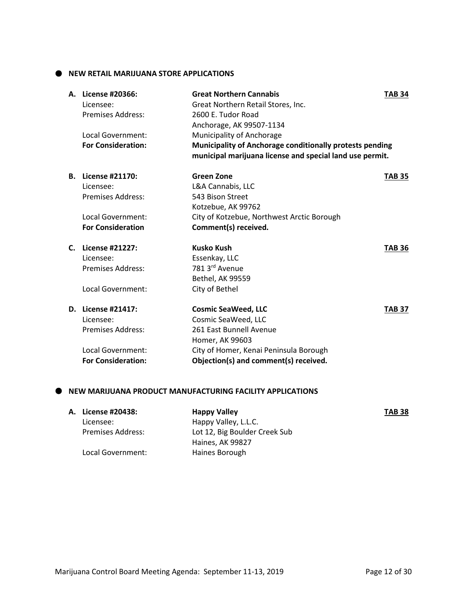**NEW RETAIL MARIJUANA STORE APPLICATIONS**

| Licensee:                | <b>Great Northern Cannabis</b><br>Great Northern Retail Stores, Inc.                                                                                                                                                                                                      | <b>TAB 34</b>                                                                                                                                                |
|--------------------------|---------------------------------------------------------------------------------------------------------------------------------------------------------------------------------------------------------------------------------------------------------------------------|--------------------------------------------------------------------------------------------------------------------------------------------------------------|
| <b>Premises Address:</b> | Anchorage, AK 99507-1134                                                                                                                                                                                                                                                  |                                                                                                                                                              |
|                          | Municipality of Anchorage                                                                                                                                                                                                                                                 |                                                                                                                                                              |
|                          | Municipality of Anchorage conditionally protests pending<br>municipal marijuana license and special land use permit.                                                                                                                                                      |                                                                                                                                                              |
|                          | <b>Green Zone</b>                                                                                                                                                                                                                                                         | <b>TAB 35</b>                                                                                                                                                |
|                          | L&A Cannabis, LLC                                                                                                                                                                                                                                                         |                                                                                                                                                              |
| <b>Premises Address:</b> | 543 Bison Street                                                                                                                                                                                                                                                          |                                                                                                                                                              |
|                          |                                                                                                                                                                                                                                                                           |                                                                                                                                                              |
|                          |                                                                                                                                                                                                                                                                           |                                                                                                                                                              |
|                          | Comment(s) received.                                                                                                                                                                                                                                                      |                                                                                                                                                              |
|                          | <b>Kusko Kush</b>                                                                                                                                                                                                                                                         | <b>TAB 36</b>                                                                                                                                                |
|                          | Essenkay, LLC                                                                                                                                                                                                                                                             |                                                                                                                                                              |
| <b>Premises Address:</b> | 781 3rd Avenue                                                                                                                                                                                                                                                            |                                                                                                                                                              |
|                          | <b>Bethel, AK 99559</b>                                                                                                                                                                                                                                                   |                                                                                                                                                              |
|                          | City of Bethel                                                                                                                                                                                                                                                            |                                                                                                                                                              |
|                          | <b>Cosmic SeaWeed, LLC</b>                                                                                                                                                                                                                                                | <b>TAB 37</b>                                                                                                                                                |
|                          | Cosmic SeaWeed, LLC                                                                                                                                                                                                                                                       |                                                                                                                                                              |
| <b>Premises Address:</b> | 261 East Bunnell Avenue                                                                                                                                                                                                                                                   |                                                                                                                                                              |
|                          | Homer, AK 99603                                                                                                                                                                                                                                                           |                                                                                                                                                              |
|                          | City of Homer, Kenai Peninsula Borough                                                                                                                                                                                                                                    |                                                                                                                                                              |
|                          |                                                                                                                                                                                                                                                                           |                                                                                                                                                              |
|                          | A. License #20366:<br>Local Government:<br><b>For Consideration:</b><br>License #21170:<br>Licensee:<br>Local Government:<br><b>For Consideration</b><br>License #21227:<br>Licensee:<br>Local Government:<br>D. License #21417:<br>Licensee:<br><b>Local Government:</b> | 2600 E. Tudor Road<br>Kotzebue, AK 99762<br>City of Kotzebue, Northwest Arctic Borough<br><b>For Consideration:</b><br>Objection(s) and comment(s) received. |

#### **NEW MARIJUANA PRODUCT MANUFACTURING FACILITY APPLICATIONS**

| A. License #20438:       | <b>Happy Valley</b>           | <b>TAB 38</b> |
|--------------------------|-------------------------------|---------------|
| Licensee:                | Happy Valley, L.L.C.          |               |
| <b>Premises Address:</b> | Lot 12, Big Boulder Creek Sub |               |
|                          | Haines, AK 99827              |               |
| Local Government:        | Haines Borough                |               |
|                          |                               |               |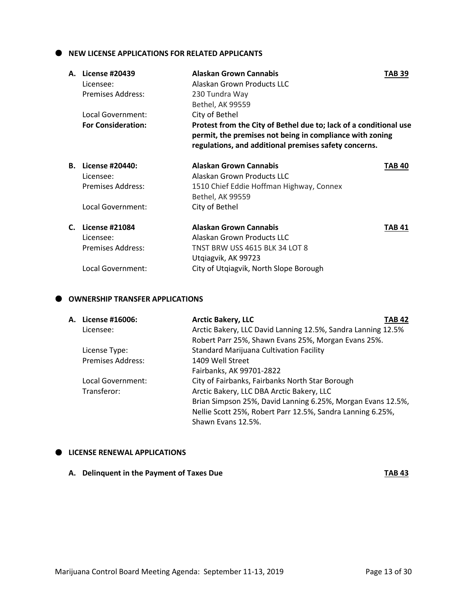$\bullet$  NEW LICENSE APPLICATIONS FOR RELATED APPLICANTS

| А. | <b>License #20439</b>     | Alaskan Grown Cannabis                                                                                            | TAB 39 |
|----|---------------------------|-------------------------------------------------------------------------------------------------------------------|--------|
|    | Licensee:                 | Alaskan Grown Products LLC                                                                                        |        |
|    | Premises Address:         | 230 Tundra Way                                                                                                    |        |
|    |                           | Bethel, AK 99559                                                                                                  |        |
|    | Local Government:         | City of Bethel                                                                                                    |        |
|    | <b>For Consideration:</b> | Protest from the City of Bethel due to; lack of a conditional use                                                 |        |
|    |                           | permit, the premises not being in compliance with zoning<br>regulations, and additional premises safety concerns. |        |
| В. | License #20440:           | <b>Alaskan Grown Cannabis</b>                                                                                     | TAB 40 |
|    | Licensee:                 | Alaskan Grown Products LLC                                                                                        |        |
|    | Premises Address:         | 1510 Chief Eddie Hoffman Highway, Connex                                                                          |        |
|    |                           | Bethel, AK 99559                                                                                                  |        |
|    | Local Government:         | City of Bethel                                                                                                    |        |
| C. | <b>License #21084</b>     | Alaskan Grown Cannabis                                                                                            | TAB 41 |
|    | Licensee:                 | Alaskan Grown Products LLC                                                                                        |        |
|    | Premises Address:         | <b>TNST BRW USS 4615 BLK 34 LOT 8</b>                                                                             |        |
|    |                           | Utgiagvik, AK 99723                                                                                               |        |
|    | Local Government:         | City of Utgiagvik, North Slope Borough                                                                            |        |

#### **OWNERSHIP TRANSFER APPLICATIONS**

| A. License #16006:       | <b>Arctic Bakery, LLC</b>                                    | TAB 42 |
|--------------------------|--------------------------------------------------------------|--------|
| Licensee:                | Arctic Bakery, LLC David Lanning 12.5%, Sandra Lanning 12.5% |        |
|                          | Robert Parr 25%, Shawn Evans 25%, Morgan Evans 25%.          |        |
| License Type:            | <b>Standard Marijuana Cultivation Facility</b>               |        |
| <b>Premises Address:</b> | 1409 Well Street                                             |        |
|                          | Fairbanks, AK 99701-2822                                     |        |
| Local Government:        | City of Fairbanks, Fairbanks North Star Borough              |        |
| Transferor:              | Arctic Bakery, LLC DBA Arctic Bakery, LLC                    |        |
|                          | Brian Simpson 25%, David Lanning 6.25%, Morgan Evans 12.5%,  |        |
|                          | Nellie Scott 25%, Robert Parr 12.5%, Sandra Lanning 6.25%,   |        |
|                          | Shawn Evans 12.5%.                                           |        |

#### $\bullet$  LICENSE RENEWAL APPLICATIONS

**A. Delinquent in the Payment of Taxes Due TAB 43**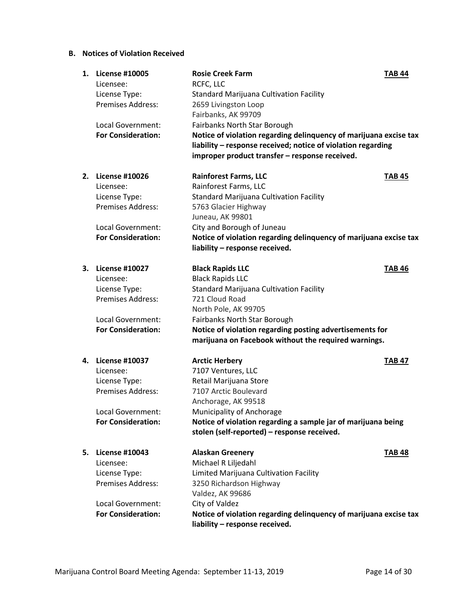### **B. Notices of Violation Received**

| 1. | <b>License #10005</b><br>Licensee: | <b>Rosie Creek Farm</b><br>RCFC, LLC                              | <b>TAB 44</b> |
|----|------------------------------------|-------------------------------------------------------------------|---------------|
|    | License Type:                      | <b>Standard Marijuana Cultivation Facility</b>                    |               |
|    | <b>Premises Address:</b>           | 2659 Livingston Loop                                              |               |
|    |                                    | Fairbanks, AK 99709                                               |               |
|    | <b>Local Government:</b>           | Fairbanks North Star Borough                                      |               |
|    | <b>For Consideration:</b>          | Notice of violation regarding delinquency of marijuana excise tax |               |
|    |                                    | liability - response received; notice of violation regarding      |               |
|    |                                    | improper product transfer - response received.                    |               |
|    | 2. License #10026                  | <b>Rainforest Farms, LLC</b>                                      | <b>TAB 45</b> |
|    | Licensee:                          | Rainforest Farms, LLC                                             |               |
|    | License Type:                      | <b>Standard Marijuana Cultivation Facility</b>                    |               |
|    | <b>Premises Address:</b>           | 5763 Glacier Highway                                              |               |
|    |                                    | Juneau, AK 99801                                                  |               |
|    | Local Government:                  | City and Borough of Juneau                                        |               |
|    | <b>For Consideration:</b>          | Notice of violation regarding delinquency of marijuana excise tax |               |
|    |                                    | liability - response received.                                    |               |
|    | 3. License #10027                  | <b>Black Rapids LLC</b>                                           | <b>TAB 46</b> |
|    | Licensee:                          | <b>Black Rapids LLC</b>                                           |               |
|    | License Type:                      | <b>Standard Marijuana Cultivation Facility</b>                    |               |
|    | <b>Premises Address:</b>           | 721 Cloud Road                                                    |               |
|    |                                    | North Pole, AK 99705                                              |               |
|    | Local Government:                  | Fairbanks North Star Borough                                      |               |
|    | <b>For Consideration:</b>          | Notice of violation regarding posting advertisements for          |               |
|    |                                    | marijuana on Facebook without the required warnings.              |               |
|    | 4. License #10037                  | <b>Arctic Herbery</b>                                             | <b>TAB 47</b> |
|    | Licensee:                          | 7107 Ventures, LLC                                                |               |
|    | License Type:                      | Retail Marijuana Store                                            |               |
|    | <b>Premises Address:</b>           | 7107 Arctic Boulevard                                             |               |
|    |                                    | Anchorage, AK 99518                                               |               |
|    | Local Government:                  | Municipality of Anchorage                                         |               |
|    | <b>For Consideration:</b>          | Notice of violation regarding a sample jar of marijuana being     |               |
|    |                                    | stolen (self-reported) - response received.                       |               |
| 5. | <b>License #10043</b>              | <b>Alaskan Greenery</b>                                           | <b>TAB 48</b> |
|    | Licensee:                          | Michael R Liljedahl                                               |               |
|    | License Type:                      | Limited Marijuana Cultivation Facility                            |               |
|    | <b>Premises Address:</b>           | 3250 Richardson Highway                                           |               |
|    |                                    | Valdez, AK 99686                                                  |               |
|    | Local Government:                  | City of Valdez                                                    |               |
|    | <b>For Consideration:</b>          | Notice of violation regarding delinquency of marijuana excise tax |               |
|    |                                    | liability - response received.                                    |               |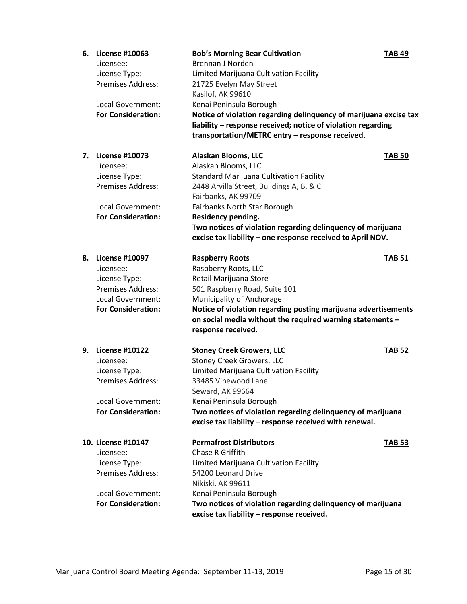| 6. | <b>License #10063</b><br>Licensee:<br>License Type:<br>Premises Address:<br>Local Government:<br><b>For Consideration:</b>               | <b>Bob's Morning Bear Cultivation</b><br>Brennan J Norden<br>Limited Marijuana Cultivation Facility<br>21725 Evelyn May Street<br>Kasilof, AK 99610<br>Kenai Peninsula Borough<br>Notice of violation regarding delinquency of marijuana excise tax                                                                                                | <b>TAB 49</b> |
|----|------------------------------------------------------------------------------------------------------------------------------------------|----------------------------------------------------------------------------------------------------------------------------------------------------------------------------------------------------------------------------------------------------------------------------------------------------------------------------------------------------|---------------|
|    |                                                                                                                                          | liability - response received; notice of violation regarding<br>transportation/METRC entry - response received.                                                                                                                                                                                                                                    |               |
| 7. | <b>License #10073</b><br>Licensee:<br>License Type:<br><b>Premises Address:</b><br><b>Local Government:</b><br><b>For Consideration:</b> | Alaskan Blooms, LLC<br>Alaskan Blooms, LLC<br><b>Standard Marijuana Cultivation Facility</b><br>2448 Arvilla Street, Buildings A, B, & C<br>Fairbanks, AK 99709<br>Fairbanks North Star Borough<br>Residency pending.<br>Two notices of violation regarding delinquency of marijuana<br>excise tax liability - one response received to April NOV. | <b>TAB 50</b> |
| 8. | <b>License #10097</b><br>Licensee:<br>License Type:<br>Premises Address:<br>Local Government:<br><b>For Consideration:</b>               | <b>Raspberry Roots</b><br>Raspberry Roots, LLC<br>Retail Marijuana Store<br>501 Raspberry Road, Suite 101<br>Municipality of Anchorage<br>Notice of violation regarding posting marijuana advertisements<br>on social media without the required warning statements -<br>response received.                                                        | <b>TAB 51</b> |
| 9. | <b>License #10122</b><br>Licensee:<br>License Type:<br>Premises Address:<br>Local Government:<br><b>For Consideration:</b>               | <b>Stoney Creek Growers, LLC</b><br><b>Stoney Creek Growers, LLC</b><br>Limited Marijuana Cultivation Facility<br>33485 Vinewood Lane<br>Seward, AK 99664<br>Kenai Peninsula Borough<br>Two notices of violation regarding delinquency of marijuana<br>excise tax liability - response received with renewal.                                      | <b>TAB 52</b> |
|    | 10. License #10147<br>Licensee:<br>License Type:<br><b>Premises Address:</b><br>Local Government:<br><b>For Consideration:</b>           | <b>Permafrost Distributors</b><br><b>Chase R Griffith</b><br>Limited Marijuana Cultivation Facility<br>54200 Leonard Drive<br>Nikiski, AK 99611<br>Kenai Peninsula Borough<br>Two notices of violation regarding delinquency of marijuana<br>excise tax liability - response received.                                                             | <b>TAB 53</b> |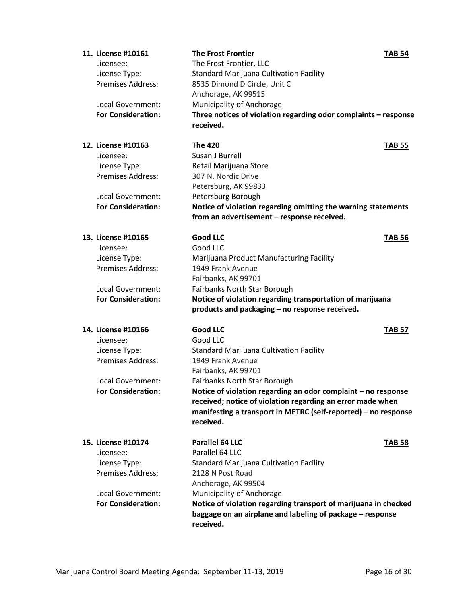| 11. License #10161<br>Licensee:<br>License Type:<br>Premises Address:<br>Local Government: | <b>The Frost Frontier</b><br>The Frost Frontier, LLC<br><b>Standard Marijuana Cultivation Facility</b><br>8535 Dimond D Circle, Unit C<br>Anchorage, AK 99515<br>Municipality of Anchorage | <b>TAB 54</b> |
|--------------------------------------------------------------------------------------------|--------------------------------------------------------------------------------------------------------------------------------------------------------------------------------------------|---------------|
| <b>For Consideration:</b>                                                                  | Three notices of violation regarding odor complaints - response<br>received.                                                                                                               |               |
| 12. License #10163                                                                         | <b>The 420</b>                                                                                                                                                                             | <b>TAB 55</b> |
| Licensee:                                                                                  | Susan J Burrell                                                                                                                                                                            |               |
| License Type:                                                                              | Retail Marijuana Store                                                                                                                                                                     |               |
| <b>Premises Address:</b>                                                                   | 307 N. Nordic Drive                                                                                                                                                                        |               |
|                                                                                            | Petersburg, AK 99833                                                                                                                                                                       |               |
| Local Government:<br><b>For Consideration:</b>                                             | Petersburg Borough                                                                                                                                                                         |               |
|                                                                                            | Notice of violation regarding omitting the warning statements<br>from an advertisement - response received.                                                                                |               |
|                                                                                            |                                                                                                                                                                                            |               |
| 13. License #10165                                                                         | <b>Good LLC</b>                                                                                                                                                                            | <b>TAB 56</b> |
| Licensee:                                                                                  | Good LLC                                                                                                                                                                                   |               |
| License Type:                                                                              | Marijuana Product Manufacturing Facility                                                                                                                                                   |               |
| <b>Premises Address:</b>                                                                   | 1949 Frank Avenue                                                                                                                                                                          |               |
|                                                                                            | Fairbanks, AK 99701                                                                                                                                                                        |               |
| Local Government:                                                                          | Fairbanks North Star Borough                                                                                                                                                               |               |
| <b>For Consideration:</b>                                                                  | Notice of violation regarding transportation of marijuana                                                                                                                                  |               |
|                                                                                            | products and packaging - no response received.                                                                                                                                             |               |
| 14. License #10166                                                                         | <b>Good LLC</b>                                                                                                                                                                            | <b>TAB 57</b> |
| Licensee:                                                                                  | Good LLC                                                                                                                                                                                   |               |
| License Type:                                                                              | <b>Standard Marijuana Cultivation Facility</b>                                                                                                                                             |               |
| Premises Address:                                                                          | 1949 Frank Avenue                                                                                                                                                                          |               |
|                                                                                            | Fairbanks, AK 99701                                                                                                                                                                        |               |
| Local Government:                                                                          | Fairbanks North Star Borough                                                                                                                                                               |               |
| <b>For Consideration:</b>                                                                  | Notice of violation regarding an odor complaint $-$ no response                                                                                                                            |               |
|                                                                                            | received; notice of violation regarding an error made when                                                                                                                                 |               |
|                                                                                            | manifesting a transport in METRC (self-reported) - no response                                                                                                                             |               |
|                                                                                            | received.                                                                                                                                                                                  |               |
| 15. License #10174                                                                         | Parallel 64 LLC                                                                                                                                                                            | <b>TAB 58</b> |
| Licensee:                                                                                  | Parallel 64 LLC                                                                                                                                                                            |               |
| License Type:                                                                              | <b>Standard Marijuana Cultivation Facility</b>                                                                                                                                             |               |
| <b>Premises Address:</b>                                                                   | 2128 N Post Road                                                                                                                                                                           |               |
|                                                                                            | Anchorage, AK 99504                                                                                                                                                                        |               |
| Local Government:                                                                          | Municipality of Anchorage                                                                                                                                                                  |               |
| <b>For Consideration:</b>                                                                  | Notice of violation regarding transport of marijuana in checked                                                                                                                            |               |
|                                                                                            | baggage on an airplane and labeling of package - response<br>received.                                                                                                                     |               |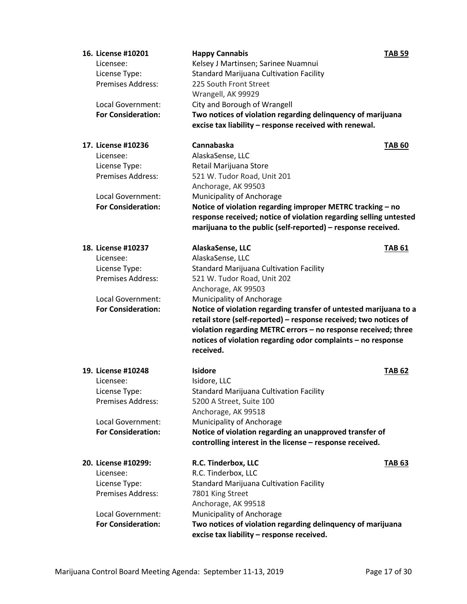| 16. License #10201        | <b>Happy Cannabis</b>                                                                                    | <b>TAB 59</b> |
|---------------------------|----------------------------------------------------------------------------------------------------------|---------------|
| Licensee:                 | Kelsey J Martinsen; Sarinee Nuamnui                                                                      |               |
| License Type:             | <b>Standard Marijuana Cultivation Facility</b>                                                           |               |
| <b>Premises Address:</b>  | 225 South Front Street                                                                                   |               |
|                           | Wrangell, AK 99929                                                                                       |               |
| Local Government:         | City and Borough of Wrangell                                                                             |               |
| <b>For Consideration:</b> | Two notices of violation regarding delinquency of marijuana                                              |               |
|                           | excise tax liability - response received with renewal.                                                   |               |
| 17. License #10236        | Cannabaska                                                                                               | <b>TAB 60</b> |
| Licensee:                 | AlaskaSense, LLC                                                                                         |               |
| License Type:             | Retail Marijuana Store                                                                                   |               |
| Premises Address:         | 521 W. Tudor Road, Unit 201                                                                              |               |
|                           | Anchorage, AK 99503                                                                                      |               |
| Local Government:         | Municipality of Anchorage                                                                                |               |
| <b>For Consideration:</b> | Notice of violation regarding improper METRC tracking - no                                               |               |
|                           | response received; notice of violation regarding selling untested                                        |               |
|                           | marijuana to the public (self-reported) - response received.                                             |               |
| 18. License #10237        | AlaskaSense, LLC                                                                                         | <b>TAB 61</b> |
| Licensee:                 | AlaskaSense, LLC                                                                                         |               |
| License Type:             | <b>Standard Marijuana Cultivation Facility</b>                                                           |               |
| Premises Address:         | 521 W. Tudor Road, Unit 202                                                                              |               |
|                           | Anchorage, AK 99503                                                                                      |               |
| Local Government:         | Municipality of Anchorage                                                                                |               |
| <b>For Consideration:</b> | Notice of violation regarding transfer of untested marijuana to a                                        |               |
|                           | retail store (self-reported) - response received; two notices of                                         |               |
|                           | violation regarding METRC errors - no response received; three                                           |               |
|                           | notices of violation regarding odor complaints - no response                                             |               |
|                           | received.                                                                                                |               |
| 19. License #10248        | <b>Isidore</b>                                                                                           | <b>TAB 62</b> |
| Licensee:                 |                                                                                                          |               |
|                           | Isidore, LLC                                                                                             |               |
| License Type:             | <b>Standard Marijuana Cultivation Facility</b>                                                           |               |
| <b>Premises Address:</b>  | 5200 A Street, Suite 100                                                                                 |               |
|                           | Anchorage, AK 99518                                                                                      |               |
| Local Government:         | Municipality of Anchorage                                                                                |               |
| <b>For Consideration:</b> | Notice of violation regarding an unapproved transfer of                                                  |               |
|                           | controlling interest in the license - response received.                                                 |               |
| 20. License #10299:       | R.C. Tinderbox, LLC                                                                                      | <b>TAB 63</b> |
| Licensee:                 | R.C. Tinderbox, LLC                                                                                      |               |
| License Type:             | <b>Standard Marijuana Cultivation Facility</b>                                                           |               |
| <b>Premises Address:</b>  | 7801 King Street                                                                                         |               |
|                           | Anchorage, AK 99518                                                                                      |               |
| Local Government:         | Municipality of Anchorage                                                                                |               |
| <b>For Consideration:</b> | Two notices of violation regarding delinquency of marijuana<br>excise tax liability - response received. |               |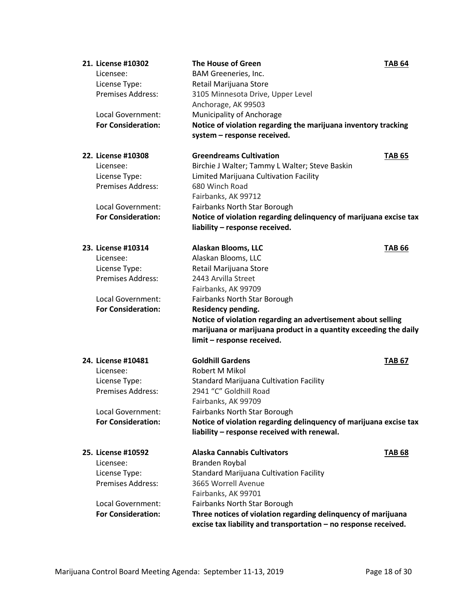| 21. License #10302                        | <b>The House of Green</b>                                                | <b>TAB 64</b> |
|-------------------------------------------|--------------------------------------------------------------------------|---------------|
| Licensee:                                 | BAM Greeneries, Inc.                                                     |               |
| License Type:                             | Retail Marijuana Store                                                   |               |
| <b>Premises Address:</b>                  | 3105 Minnesota Drive, Upper Level                                        |               |
|                                           | Anchorage, AK 99503                                                      |               |
| Local Government:                         | Municipality of Anchorage                                                |               |
| <b>For Consideration:</b>                 | Notice of violation regarding the marijuana inventory tracking           |               |
|                                           | system - response received.                                              |               |
| 22. License #10308                        | <b>Greendreams Cultivation</b>                                           | <b>TAB 65</b> |
| Licensee:                                 | Birchie J Walter; Tammy L Walter; Steve Baskin                           |               |
| License Type:                             | Limited Marijuana Cultivation Facility                                   |               |
| Premises Address:                         | 680 Winch Road                                                           |               |
|                                           | Fairbanks, AK 99712                                                      |               |
| Local Government:                         | Fairbanks North Star Borough                                             |               |
| <b>For Consideration:</b>                 | Notice of violation regarding delinquency of marijuana excise tax        |               |
|                                           | liability - response received.                                           |               |
|                                           |                                                                          |               |
| 23. License #10314                        | Alaskan Blooms, LLC                                                      | <b>TAB 66</b> |
| Licensee:                                 | Alaskan Blooms, LLC                                                      |               |
| License Type:                             | Retail Marijuana Store                                                   |               |
| Premises Address:                         | 2443 Arvilla Street                                                      |               |
|                                           | Fairbanks, AK 99709                                                      |               |
| Local Government:                         | Fairbanks North Star Borough                                             |               |
| <b>For Consideration:</b>                 | <b>Residency pending.</b>                                                |               |
|                                           | Notice of violation regarding an advertisement about selling             |               |
|                                           | marijuana or marijuana product in a quantity exceeding the daily         |               |
|                                           | limit - response received.                                               |               |
| 24. License #10481                        | <b>Goldhill Gardens</b>                                                  | <b>TAB 67</b> |
| Licensee:                                 | Robert M Mikol                                                           |               |
|                                           |                                                                          |               |
| License Type:<br><b>Premises Address:</b> | <b>Standard Marijuana Cultivation Facility</b><br>2941 "C" Goldhill Road |               |
|                                           |                                                                          |               |
|                                           | Fairbanks, AK 99709                                                      |               |
| Local Government:                         | Fairbanks North Star Borough                                             |               |
| <b>For Consideration:</b>                 | Notice of violation regarding delinquency of marijuana excise tax        |               |
|                                           | liability - response received with renewal.                              |               |
| 25. License #10592                        | <b>Alaska Cannabis Cultivators</b>                                       | <b>TAB 68</b> |
| Licensee:                                 | Branden Roybal                                                           |               |
| License Type:                             | <b>Standard Marijuana Cultivation Facility</b>                           |               |
| <b>Premises Address:</b>                  | 3665 Worrell Avenue                                                      |               |
|                                           | Fairbanks, AK 99701                                                      |               |
| Local Government:                         | Fairbanks North Star Borough                                             |               |
| <b>For Consideration:</b>                 | Three notices of violation regarding delinquency of marijuana            |               |
|                                           | excise tax liability and transportation - no response received.          |               |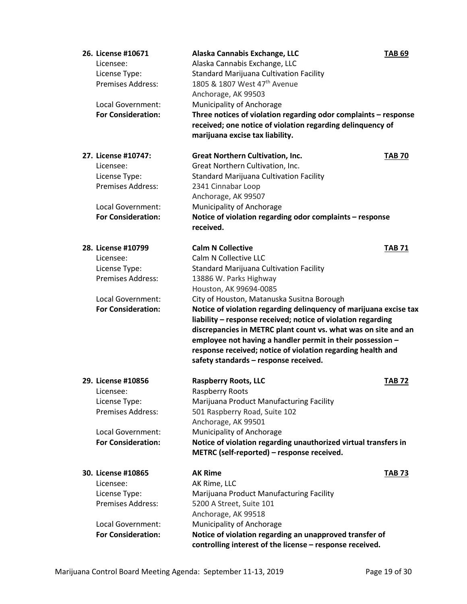| 26. License #10671        | Alaska Cannabis Exchange, LLC                                     | <b>TAB 69</b> |
|---------------------------|-------------------------------------------------------------------|---------------|
| Licensee:                 | Alaska Cannabis Exchange, LLC                                     |               |
| License Type:             | <b>Standard Marijuana Cultivation Facility</b>                    |               |
| <b>Premises Address:</b>  | 1805 & 1807 West 47 <sup>th</sup> Avenue                          |               |
|                           | Anchorage, AK 99503                                               |               |
| Local Government:         | Municipality of Anchorage                                         |               |
| <b>For Consideration:</b> | Three notices of violation regarding odor complaints - response   |               |
|                           | received; one notice of violation regarding delinquency of        |               |
|                           | marijuana excise tax liability.                                   |               |
| 27. License #10747:       | <b>Great Northern Cultivation, Inc.</b>                           | <b>TAB 70</b> |
| Licensee:                 | Great Northern Cultivation, Inc.                                  |               |
| License Type:             | <b>Standard Marijuana Cultivation Facility</b>                    |               |
| <b>Premises Address:</b>  | 2341 Cinnabar Loop                                                |               |
|                           | Anchorage, AK 99507                                               |               |
| <b>Local Government:</b>  | Municipality of Anchorage                                         |               |
| <b>For Consideration:</b> | Notice of violation regarding odor complaints - response          |               |
|                           | received.                                                         |               |
|                           |                                                                   |               |
| 28. License #10799        | <b>Calm N Collective</b>                                          | <b>TAB 71</b> |
| Licensee:                 | Calm N Collective LLC                                             |               |
| License Type:             | <b>Standard Marijuana Cultivation Facility</b>                    |               |
| <b>Premises Address:</b>  | 13886 W. Parks Highway                                            |               |
|                           | Houston, AK 99694-0085                                            |               |
| Local Government:         | City of Houston, Matanuska Susitna Borough                        |               |
| <b>For Consideration:</b> | Notice of violation regarding delinquency of marijuana excise tax |               |
|                           | liability - response received; notice of violation regarding      |               |
|                           | discrepancies in METRC plant count vs. what was on site and an    |               |
|                           | employee not having a handler permit in their possession -        |               |
|                           | response received; notice of violation regarding health and       |               |
|                           | safety standards - response received.                             |               |
| 29. License #10856        | <b>Raspberry Roots, LLC</b>                                       | <b>TAB 72</b> |
| Licensee:                 | Raspberry Roots                                                   |               |
| License Type:             | Marijuana Product Manufacturing Facility                          |               |
| <b>Premises Address:</b>  | 501 Raspberry Road, Suite 102                                     |               |
|                           | Anchorage, AK 99501                                               |               |
| Local Government:         | Municipality of Anchorage                                         |               |
| <b>For Consideration:</b> | Notice of violation regarding unauthorized virtual transfers in   |               |
|                           | METRC (self-reported) - response received.                        |               |
|                           |                                                                   |               |
| 30. License #10865        | <b>AK Rime</b>                                                    | <b>TAB 73</b> |
| Licensee:                 | AK Rime, LLC                                                      |               |
| License Type:             | Marijuana Product Manufacturing Facility                          |               |
| <b>Premises Address:</b>  | 5200 A Street, Suite 101                                          |               |
|                           |                                                                   |               |
|                           | Anchorage, AK 99518                                               |               |
| Local Government:         | Municipality of Anchorage                                         |               |
| <b>For Consideration:</b> | Notice of violation regarding an unapproved transfer of           |               |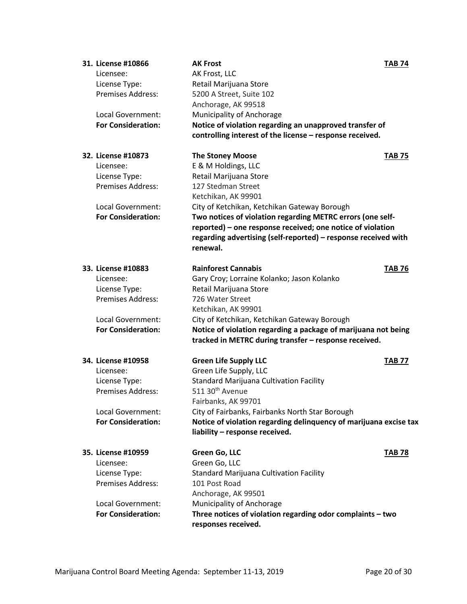| 31. License #10866        | <b>AK Frost</b>                                                   | <b>TAB 74</b> |
|---------------------------|-------------------------------------------------------------------|---------------|
| Licensee:                 | AK Frost, LLC                                                     |               |
| License Type:             | Retail Marijuana Store                                            |               |
| <b>Premises Address:</b>  | 5200 A Street, Suite 102                                          |               |
|                           | Anchorage, AK 99518                                               |               |
| Local Government:         | Municipality of Anchorage                                         |               |
| <b>For Consideration:</b> | Notice of violation regarding an unapproved transfer of           |               |
|                           | controlling interest of the license - response received.          |               |
| 32. License #10873        | <b>The Stoney Moose</b>                                           | <b>TAB 75</b> |
| Licensee:                 | E & M Holdings, LLC                                               |               |
| License Type:             | Retail Marijuana Store                                            |               |
| <b>Premises Address:</b>  | 127 Stedman Street                                                |               |
|                           | Ketchikan, AK 99901                                               |               |
| Local Government:         | City of Ketchikan, Ketchikan Gateway Borough                      |               |
| <b>For Consideration:</b> | Two notices of violation regarding METRC errors (one self-        |               |
|                           | reported) - one response received; one notice of violation        |               |
|                           | regarding advertising (self-reported) - response received with    |               |
|                           | renewal.                                                          |               |
| 33. License #10883        | <b>Rainforest Cannabis</b>                                        | <b>TAB 76</b> |
| Licensee:                 | Gary Croy; Lorraine Kolanko; Jason Kolanko                        |               |
| License Type:             | Retail Marijuana Store                                            |               |
| <b>Premises Address:</b>  | 726 Water Street                                                  |               |
|                           | Ketchikan, AK 99901                                               |               |
| Local Government:         | City of Ketchikan, Ketchikan Gateway Borough                      |               |
| <b>For Consideration:</b> | Notice of violation regarding a package of marijuana not being    |               |
|                           | tracked in METRC during transfer - response received.             |               |
| 34. License #10958        | <b>Green Life Supply LLC</b>                                      | <b>TAB 77</b> |
| Licensee:                 | Green Life Supply, LLC                                            |               |
| License Type:             | <b>Standard Marijuana Cultivation Facility</b>                    |               |
| Premises Address:         | 511 30 <sup>th</sup> Avenue                                       |               |
|                           | Fairbanks, AK 99701                                               |               |
| Local Government:         | City of Fairbanks, Fairbanks North Star Borough                   |               |
| <b>For Consideration:</b> | Notice of violation regarding delinquency of marijuana excise tax |               |
|                           | liability - response received.                                    |               |
| 35. License #10959        | Green Go, LLC                                                     | <b>TAB 78</b> |
| Licensee:                 | Green Go, LLC                                                     |               |
| License Type:             | <b>Standard Marijuana Cultivation Facility</b>                    |               |
| <b>Premises Address:</b>  | 101 Post Road                                                     |               |
|                           | Anchorage, AK 99501                                               |               |
| Local Government:         | Municipality of Anchorage                                         |               |
| <b>For Consideration:</b> | Three notices of violation regarding odor complaints - two        |               |
|                           | responses received.                                               |               |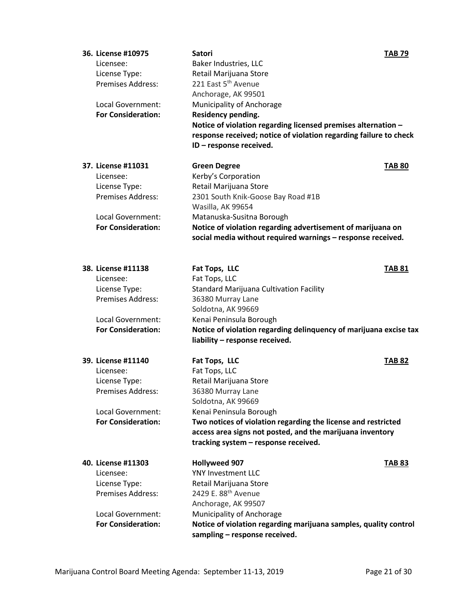| 36. License #10975<br>Licensee:           | <b>Satori</b><br>Baker Industries, LLC                                                       | <b>TAB 79</b> |
|-------------------------------------------|----------------------------------------------------------------------------------------------|---------------|
| License Type:                             | Retail Marijuana Store                                                                       |               |
| <b>Premises Address:</b>                  | 221 East 5 <sup>th</sup> Avenue                                                              |               |
|                                           | Anchorage, AK 99501                                                                          |               |
| Local Government:                         | Municipality of Anchorage                                                                    |               |
| <b>For Consideration:</b>                 | Residency pending.                                                                           |               |
|                                           | Notice of violation regarding licensed premises alternation -                                |               |
|                                           |                                                                                              |               |
|                                           | response received; notice of violation regarding failure to check<br>ID - response received. |               |
|                                           |                                                                                              |               |
| 37. License #11031                        | <b>Green Degree</b>                                                                          | <b>TAB 80</b> |
| Licensee:                                 | Kerby's Corporation                                                                          |               |
| License Type:                             | Retail Marijuana Store                                                                       |               |
| <b>Premises Address:</b>                  | 2301 South Knik-Goose Bay Road #1B                                                           |               |
|                                           | Wasilla, AK 99654                                                                            |               |
| Local Government:                         | Matanuska-Susitna Borough                                                                    |               |
| <b>For Consideration:</b>                 | Notice of violation regarding advertisement of marijuana on                                  |               |
|                                           | social media without required warnings - response received.                                  |               |
| 38. License #11138                        |                                                                                              |               |
|                                           | Fat Tops, LLC                                                                                | <b>TAB 81</b> |
| Licensee:                                 | Fat Tops, LLC<br><b>Standard Marijuana Cultivation Facility</b>                              |               |
| License Type:<br><b>Premises Address:</b> | 36380 Murray Lane                                                                            |               |
|                                           |                                                                                              |               |
|                                           | Soldotna, AK 99669                                                                           |               |
| Local Government:                         | Kenai Peninsula Borough                                                                      |               |
| <b>For Consideration:</b>                 | Notice of violation regarding delinquency of marijuana excise tax                            |               |
|                                           | liability - response received.                                                               |               |
| 39. License #11140                        | Fat Tops, LLC                                                                                | <b>TAB 82</b> |
| Licensee:                                 | Fat Tops, LLC                                                                                |               |
| License Type:                             | Retail Marijuana Store                                                                       |               |
| <b>Premises Address:</b>                  | 36380 Murray Lane                                                                            |               |
|                                           | Soldotna, AK 99669                                                                           |               |
| <b>Local Government:</b>                  | Kenai Peninsula Borough                                                                      |               |
| <b>For Consideration:</b>                 | Two notices of violation regarding the license and restricted                                |               |
|                                           | access area signs not posted, and the marijuana inventory                                    |               |
|                                           | tracking system - response received.                                                         |               |
| 40. License #11303                        | <b>Hollyweed 907</b>                                                                         | <b>TAB 83</b> |
| Licensee:                                 | YNY Investment LLC                                                                           |               |
| License Type:                             | Retail Marijuana Store                                                                       |               |
| <b>Premises Address:</b>                  | 2429 E. 88 <sup>th</sup> Avenue                                                              |               |
|                                           | Anchorage, AK 99507                                                                          |               |
| Local Government:                         | Municipality of Anchorage                                                                    |               |
| <b>For Consideration:</b>                 | Notice of violation regarding marijuana samples, quality control                             |               |
|                                           | sampling - response received.                                                                |               |
|                                           |                                                                                              |               |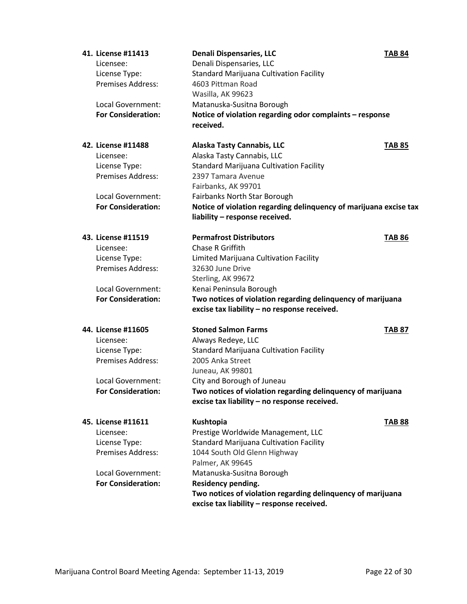| 41. License #11413        | <b>Denali Dispensaries, LLC</b>                                       | <b>TAB 84</b> |
|---------------------------|-----------------------------------------------------------------------|---------------|
| Licensee:                 | Denali Dispensaries, LLC                                              |               |
| License Type:             | <b>Standard Marijuana Cultivation Facility</b>                        |               |
| <b>Premises Address:</b>  | 4603 Pittman Road                                                     |               |
|                           | Wasilla, AK 99623                                                     |               |
| <b>Local Government:</b>  | Matanuska-Susitna Borough                                             |               |
| <b>For Consideration:</b> | Notice of violation regarding odor complaints - response<br>received. |               |
|                           |                                                                       |               |
| 42. License #11488        | <b>Alaska Tasty Cannabis, LLC</b>                                     | <b>TAB 85</b> |
| Licensee:                 | Alaska Tasty Cannabis, LLC                                            |               |
| License Type:             | <b>Standard Marijuana Cultivation Facility</b>                        |               |
| <b>Premises Address:</b>  | 2397 Tamara Avenue                                                    |               |
|                           | Fairbanks, AK 99701                                                   |               |
| Local Government:         | Fairbanks North Star Borough                                          |               |
| <b>For Consideration:</b> | Notice of violation regarding delinquency of marijuana excise tax     |               |
|                           | liability - response received.                                        |               |
| 43. License #11519        | <b>Permafrost Distributors</b>                                        | <b>TAB 86</b> |
| Licensee:                 | <b>Chase R Griffith</b>                                               |               |
| License Type:             | Limited Marijuana Cultivation Facility                                |               |
| <b>Premises Address:</b>  | 32630 June Drive                                                      |               |
|                           | Sterling, AK 99672                                                    |               |
| Local Government:         | Kenai Peninsula Borough                                               |               |
| <b>For Consideration:</b> | Two notices of violation regarding delinquency of marijuana           |               |
|                           | excise tax liability - no response received.                          |               |
| 44. License #11605        | <b>Stoned Salmon Farms</b>                                            | <b>TAB 87</b> |
| Licensee:                 | Always Redeye, LLC                                                    |               |
| License Type:             | <b>Standard Marijuana Cultivation Facility</b>                        |               |
| <b>Premises Address:</b>  | 2005 Anka Street                                                      |               |
|                           | Juneau, AK 99801                                                      |               |
| Local Government:         | City and Borough of Juneau                                            |               |
| <b>For Consideration:</b> | Two notices of violation regarding delinquency of marijuana           |               |
|                           | excise tax liability - no response received.                          |               |
| 45. License #11611        | Kushtopia                                                             | <b>TAB 88</b> |
| Licensee:                 | Prestige Worldwide Management, LLC                                    |               |
| License Type:             | <b>Standard Marijuana Cultivation Facility</b>                        |               |
| <b>Premises Address:</b>  | 1044 South Old Glenn Highway                                          |               |
|                           | Palmer, AK 99645                                                      |               |
| Local Government:         | Matanuska-Susitna Borough                                             |               |
| <b>For Consideration:</b> | Residency pending.                                                    |               |
|                           | Two notices of violation regarding delinquency of marijuana           |               |
|                           | excise tax liability - response received.                             |               |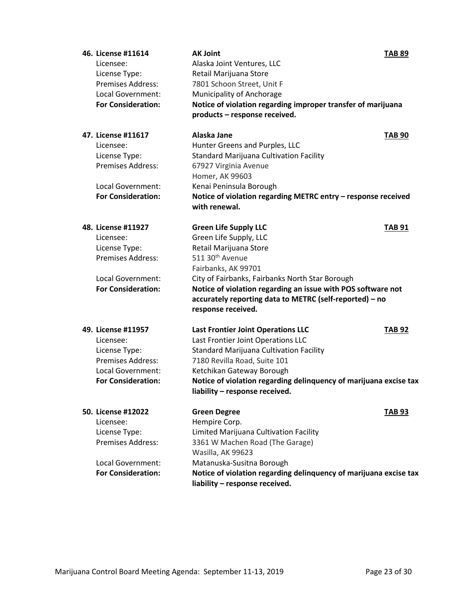| 46. License #11614        | <b>AK Joint</b>                                                   | <b>TAB 89</b> |
|---------------------------|-------------------------------------------------------------------|---------------|
| Licensee:                 | Alaska Joint Ventures, LLC                                        |               |
| License Type:             | Retail Marijuana Store                                            |               |
| <b>Premises Address:</b>  | 7801 Schoon Street, Unit F                                        |               |
| <b>Local Government:</b>  | Municipality of Anchorage                                         |               |
| <b>For Consideration:</b> | Notice of violation regarding improper transfer of marijuana      |               |
|                           | products - response received.                                     |               |
| 47. License #11617        | Alaska Jane                                                       | <b>TAB 90</b> |
| Licensee:                 | Hunter Greens and Purples, LLC                                    |               |
| License Type:             | <b>Standard Marijuana Cultivation Facility</b>                    |               |
| <b>Premises Address:</b>  | 67927 Virginia Avenue                                             |               |
|                           | Homer, AK 99603                                                   |               |
| Local Government:         | Kenai Peninsula Borough                                           |               |
| <b>For Consideration:</b> | Notice of violation regarding METRC entry - response received     |               |
|                           | with renewal.                                                     |               |
| 48. License #11927        | <b>Green Life Supply LLC</b>                                      | <b>TAB 91</b> |
| Licensee:                 | Green Life Supply, LLC                                            |               |
| License Type:             | Retail Marijuana Store                                            |               |
| <b>Premises Address:</b>  | 511 30 <sup>th</sup> Avenue                                       |               |
|                           | Fairbanks, AK 99701                                               |               |
| Local Government:         | City of Fairbanks, Fairbanks North Star Borough                   |               |
| <b>For Consideration:</b> | Notice of violation regarding an issue with POS software not      |               |
|                           | accurately reporting data to METRC (self-reported) - no           |               |
|                           | response received.                                                |               |
| 49. License #11957        | <b>Last Frontier Joint Operations LLC</b>                         | <b>TAB 92</b> |
| Licensee:                 | Last Frontier Joint Operations LLC                                |               |
| License Type:             | <b>Standard Marijuana Cultivation Facility</b>                    |               |
| <b>Premises Address:</b>  | 7180 Revilla Road, Suite 101                                      |               |
| Local Government:         | Ketchikan Gateway Borough                                         |               |
| <b>For Consideration:</b> | Notice of violation regarding delinquency of marijuana excise tax |               |
|                           | liability - response received.                                    |               |
| 50. License #12022        | <b>Green Degree</b>                                               | <b>TAB 93</b> |
| Licensee:                 | Hempire Corp.                                                     |               |
| License Type:             | Limited Marijuana Cultivation Facility                            |               |
| Premises Address:         | 3361 W Machen Road (The Garage)                                   |               |
|                           | Wasilla, AK 99623                                                 |               |
| Local Government:         | Matanuska-Susitna Borough                                         |               |
| <b>For Consideration:</b> | Notice of violation regarding delinquency of marijuana excise tax |               |
|                           | liability - response received.                                    |               |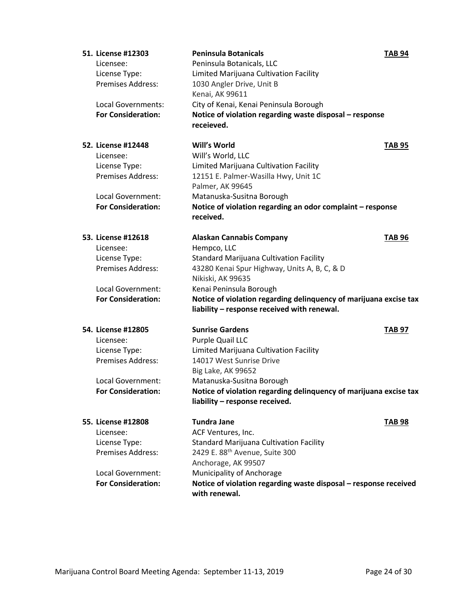| 51. License #12303        | <b>Peninsula Botanicals</b>                                       | <b>TAB 94</b> |
|---------------------------|-------------------------------------------------------------------|---------------|
| Licensee:                 | Peninsula Botanicals, LLC                                         |               |
| License Type:             | Limited Marijuana Cultivation Facility                            |               |
| <b>Premises Address:</b>  | 1030 Angler Drive, Unit B                                         |               |
|                           | Kenai, AK 99611                                                   |               |
| Local Governments:        | City of Kenai, Kenai Peninsula Borough                            |               |
| <b>For Consideration:</b> | Notice of violation regarding waste disposal - response           |               |
|                           | receieved.                                                        |               |
| 52. License #12448        | Will's World                                                      | <b>TAB 95</b> |
| Licensee:                 | Will's World, LLC                                                 |               |
| License Type:             | Limited Marijuana Cultivation Facility                            |               |
| <b>Premises Address:</b>  | 12151 E. Palmer-Wasilla Hwy, Unit 1C                              |               |
|                           | Palmer, AK 99645                                                  |               |
| Local Government:         | Matanuska-Susitna Borough                                         |               |
| <b>For Consideration:</b> | Notice of violation regarding an odor complaint - response        |               |
|                           | received.                                                         |               |
| 53. License #12618        | <b>Alaskan Cannabis Company</b>                                   | <b>TAB 96</b> |
| Licensee:                 | Hempco, LLC                                                       |               |
| License Type:             | <b>Standard Marijuana Cultivation Facility</b>                    |               |
| Premises Address:         | 43280 Kenai Spur Highway, Units A, B, C, & D                      |               |
|                           | Nikiski, AK 99635                                                 |               |
| Local Government:         | Kenai Peninsula Borough                                           |               |
| <b>For Consideration:</b> | Notice of violation regarding delinquency of marijuana excise tax |               |
|                           |                                                                   |               |
|                           | liability - response received with renewal.                       |               |
| 54. License #12805        | <b>Sunrise Gardens</b>                                            | <b>TAB 97</b> |
| Licensee:                 | Purple Quail LLC                                                  |               |
| License Type:             | Limited Marijuana Cultivation Facility                            |               |
| <b>Premises Address:</b>  | 14017 West Sunrise Drive                                          |               |
|                           | Big Lake, AK 99652                                                |               |
| <b>Local Government:</b>  | Matanuska-Susitna Borough                                         |               |
| <b>For Consideration:</b> | Notice of violation regarding delinquency of marijuana excise tax |               |
|                           | liability - response received.                                    |               |
| 55. License #12808        | <b>Tundra Jane</b>                                                | <b>TAB 98</b> |
| Licensee:                 | ACF Ventures, Inc.                                                |               |
| License Type:             | Standard Marijuana Cultivation Facility                           |               |
| <b>Premises Address:</b>  | 2429 E. 88th Avenue, Suite 300                                    |               |
|                           | Anchorage, AK 99507                                               |               |
| Local Government:         | Municipality of Anchorage                                         |               |
| <b>For Consideration:</b> | Notice of violation regarding waste disposal - response received  |               |
|                           | with renewal.                                                     |               |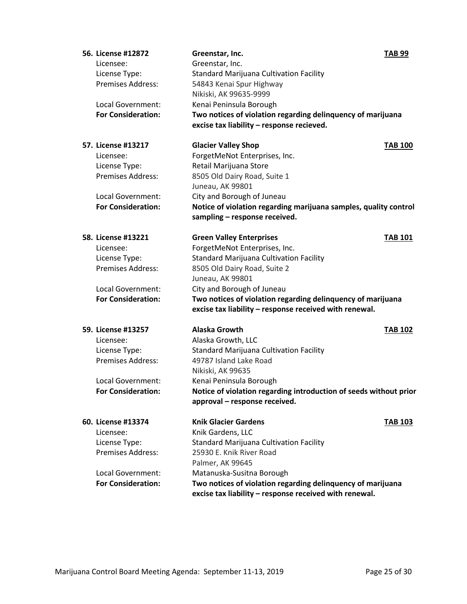| 56. License #12872        | Greenstar, Inc.                                                   | <b>TAB 99</b>            |
|---------------------------|-------------------------------------------------------------------|--------------------------|
| Licensee:                 | Greenstar, Inc.                                                   |                          |
| License Type:             | <b>Standard Marijuana Cultivation Facility</b>                    |                          |
| <b>Premises Address:</b>  | 54843 Kenai Spur Highway                                          |                          |
|                           | Nikiski, AK 99635-9999                                            |                          |
| <b>Local Government:</b>  | Kenai Peninsula Borough                                           |                          |
| <b>For Consideration:</b> | Two notices of violation regarding delinquency of marijuana       |                          |
|                           | excise tax liability - response recieved.                         |                          |
| 57. License #13217        | <b>Glacier Valley Shop</b>                                        | <b>TAB 100</b>           |
| Licensee:                 | ForgetMeNot Enterprises, Inc.                                     |                          |
| License Type:             | Retail Marijuana Store                                            |                          |
| <b>Premises Address:</b>  | 8505 Old Dairy Road, Suite 1                                      |                          |
|                           | Juneau, AK 99801                                                  |                          |
| Local Government:         | City and Borough of Juneau                                        |                          |
| <b>For Consideration:</b> | Notice of violation regarding marijuana samples, quality control  |                          |
|                           | sampling - response received.                                     |                          |
| 58. License #13221        | <b>Green Valley Enterprises</b>                                   | <b>TAB 101</b>           |
| Licensee:                 | ForgetMeNot Enterprises, Inc.                                     |                          |
| License Type:             | <b>Standard Marijuana Cultivation Facility</b>                    |                          |
| Premises Address:         | 8505 Old Dairy Road, Suite 2                                      |                          |
|                           | Juneau, AK 99801                                                  |                          |
| Local Government:         | City and Borough of Juneau                                        |                          |
| <b>For Consideration:</b> | Two notices of violation regarding delinquency of marijuana       |                          |
|                           | excise tax liability - response received with renewal.            |                          |
| 59. License #13257        | <b>Alaska Growth</b>                                              | <b>TAB<sub>102</sub></b> |
| Licensee:                 | Alaska Growth, LLC                                                |                          |
| License Type:             | <b>Standard Marijuana Cultivation Facility</b>                    |                          |
| <b>Premises Address:</b>  | 49787 Island Lake Road                                            |                          |
|                           | Nikiski, AK 99635                                                 |                          |
| Local Government:         | Kenai Peninsula Borough                                           |                          |
| <b>For Consideration:</b> | Notice of violation regarding introduction of seeds without prior |                          |
|                           | approval - response received.                                     |                          |
| 60. License #13374        | <b>Knik Glacier Gardens</b>                                       | <b>TAB 103</b>           |
| Licensee:                 | Knik Gardens, LLC                                                 |                          |
| License Type:             | Standard Marijuana Cultivation Facility                           |                          |
| Premises Address:         | 25930 E. Knik River Road                                          |                          |
|                           | Palmer, AK 99645                                                  |                          |
| Local Government:         | Matanuska-Susitna Borough                                         |                          |
| <b>For Consideration:</b> | Two notices of violation regarding delinquency of marijuana       |                          |
|                           | excise tax liability - response received with renewal.            |                          |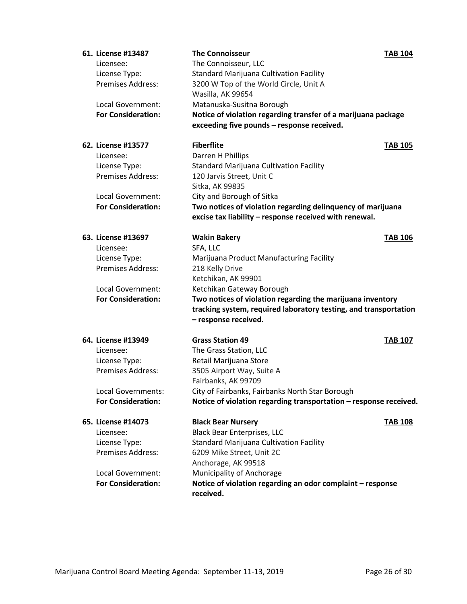| 61. License #13487        | <b>The Connoisseur</b>                                            | <b>TAB 104</b> |
|---------------------------|-------------------------------------------------------------------|----------------|
| Licensee:                 | The Connoisseur, LLC                                              |                |
| License Type:             | <b>Standard Marijuana Cultivation Facility</b>                    |                |
| <b>Premises Address:</b>  | 3200 W Top of the World Circle, Unit A                            |                |
|                           | Wasilla, AK 99654                                                 |                |
| <b>Local Government:</b>  | Matanuska-Susitna Borough                                         |                |
| <b>For Consideration:</b> | Notice of violation regarding transfer of a marijuana package     |                |
|                           | exceeding five pounds - response received.                        |                |
| 62. License #13577        | <b>Fiberflite</b>                                                 | <b>TAB 105</b> |
| Licensee:                 | Darren H Phillips                                                 |                |
| License Type:             | <b>Standard Marijuana Cultivation Facility</b>                    |                |
| Premises Address:         | 120 Jarvis Street, Unit C                                         |                |
|                           | Sitka, AK 99835                                                   |                |
| Local Government:         | City and Borough of Sitka                                         |                |
| <b>For Consideration:</b> | Two notices of violation regarding delinquency of marijuana       |                |
|                           | excise tax liability - response received with renewal.            |                |
| 63. License #13697        | <b>Wakin Bakery</b>                                               | <b>TAB 106</b> |
| Licensee:                 | SFA, LLC                                                          |                |
| License Type:             | Marijuana Product Manufacturing Facility                          |                |
| Premises Address:         | 218 Kelly Drive                                                   |                |
|                           | Ketchikan, AK 99901                                               |                |
| Local Government:         | Ketchikan Gateway Borough                                         |                |
| <b>For Consideration:</b> | Two notices of violation regarding the marijuana inventory        |                |
|                           | tracking system, required laboratory testing, and transportation  |                |
|                           | - response received.                                              |                |
| 64. License #13949        | <b>Grass Station 49</b>                                           | <b>TAB 107</b> |
| Licensee:                 | The Grass Station, LLC                                            |                |
| License Type:             | Retail Marijuana Store                                            |                |
| Premises Address:         | 3505 Airport Way, Suite A                                         |                |
|                           | Fairbanks, AK 99709                                               |                |
| <b>Local Governments:</b> | City of Fairbanks, Fairbanks North Star Borough                   |                |
| <b>For Consideration:</b> | Notice of violation regarding transportation - response received. |                |
| 65. License #14073        | <b>Black Bear Nursery</b>                                         | <b>TAB 108</b> |
| Licensee:                 | <b>Black Bear Enterprises, LLC</b>                                |                |
| License Type:             | <b>Standard Marijuana Cultivation Facility</b>                    |                |
| Premises Address:         | 6209 Mike Street, Unit 2C                                         |                |
|                           | Anchorage, AK 99518                                               |                |
| <b>Local Government:</b>  | Municipality of Anchorage                                         |                |
| <b>For Consideration:</b> | Notice of violation regarding an odor complaint - response        |                |
|                           | received.                                                         |                |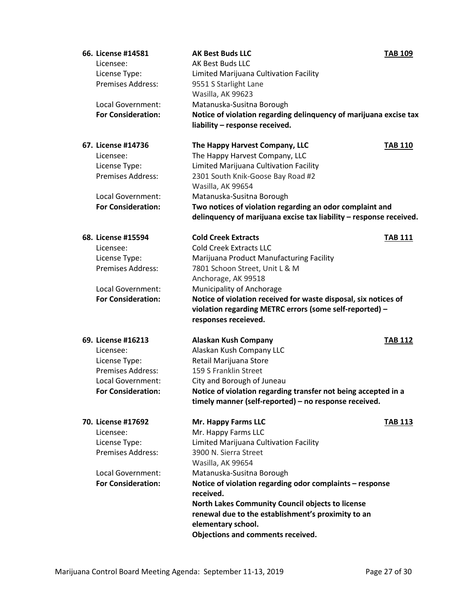| 66. License #14581        | <b>AK Best Buds LLC</b>                                               | <b>TAB 109</b> |
|---------------------------|-----------------------------------------------------------------------|----------------|
| Licensee:                 | AK Best Buds LLC                                                      |                |
| License Type:             | Limited Marijuana Cultivation Facility                                |                |
| <b>Premises Address:</b>  | 9551 S Starlight Lane                                                 |                |
|                           | Wasilla, AK 99623                                                     |                |
| Local Government:         | Matanuska-Susitna Borough                                             |                |
| <b>For Consideration:</b> | Notice of violation regarding delinquency of marijuana excise tax     |                |
|                           | liability - response received.                                        |                |
|                           |                                                                       |                |
| 67. License #14736        | The Happy Harvest Company, LLC                                        | <b>TAB 110</b> |
| Licensee:                 | The Happy Harvest Company, LLC                                        |                |
| License Type:             | Limited Marijuana Cultivation Facility                                |                |
| <b>Premises Address:</b>  | 2301 South Knik-Goose Bay Road #2                                     |                |
|                           | Wasilla, AK 99654                                                     |                |
| Local Government:         | Matanuska-Susitna Borough                                             |                |
| <b>For Consideration:</b> | Two notices of violation regarding an odor complaint and              |                |
|                           | delinquency of marijuana excise tax liability - response received.    |                |
| 68. License #15594        | <b>Cold Creek Extracts</b>                                            | <b>TAB 111</b> |
| Licensee:                 | <b>Cold Creek Extracts LLC</b>                                        |                |
| License Type:             | Marijuana Product Manufacturing Facility                              |                |
| Premises Address:         | 7801 Schoon Street, Unit L & M                                        |                |
|                           | Anchorage, AK 99518                                                   |                |
| Local Government:         | Municipality of Anchorage                                             |                |
| <b>For Consideration:</b> | Notice of violation received for waste disposal, six notices of       |                |
|                           | violation regarding METRC errors (some self-reported) -               |                |
|                           | responses receieved.                                                  |                |
|                           |                                                                       |                |
| 69. License #16213        | <b>Alaskan Kush Company</b>                                           | <b>TAB 112</b> |
| Licensee:                 | Alaskan Kush Company LLC                                              |                |
| License Type:             | Retail Marijuana Store                                                |                |
| <b>Premises Address:</b>  | 159 S Franklin Street                                                 |                |
| Local Government:         | City and Borough of Juneau                                            |                |
| <b>For Consideration:</b> | Notice of violation regarding transfer not being accepted in a        |                |
|                           | timely manner (self-reported) - no response received.                 |                |
| 70. License #17692        | Mr. Happy Farms LLC                                                   | <b>TAB 113</b> |
| Licensee:                 | Mr. Happy Farms LLC                                                   |                |
| License Type:             | Limited Marijuana Cultivation Facility                                |                |
| Premises Address:         | 3900 N. Sierra Street                                                 |                |
|                           | Wasilla, AK 99654                                                     |                |
| Local Government:         |                                                                       |                |
| <b>For Consideration:</b> | Matanuska-Susitna Borough                                             |                |
|                           | Notice of violation regarding odor complaints - response<br>received. |                |
|                           | North Lakes Community Council objects to license                      |                |
|                           | renewal due to the establishment's proximity to an                    |                |
|                           | elementary school.                                                    |                |
|                           | Objections and comments received.                                     |                |
|                           |                                                                       |                |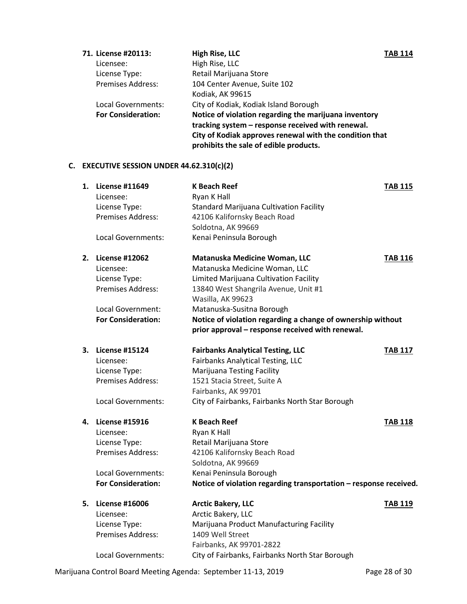| <b>High Rise, LLC</b>                                   |                                                                   |
|---------------------------------------------------------|-------------------------------------------------------------------|
| High Rise, LLC                                          |                                                                   |
| Retail Marijuana Store                                  |                                                                   |
| 104 Center Avenue, Suite 102                            |                                                                   |
| Kodiak, AK 99615                                        |                                                                   |
| City of Kodiak, Kodiak Island Borough                   |                                                                   |
| Notice of violation regarding the marijuana inventory   |                                                                   |
| tracking system - response received with renewal.       |                                                                   |
| City of Kodiak approves renewal with the condition that |                                                                   |
| prohibits the sale of edible products.                  |                                                                   |
|                                                         | <b>TAB 114</b><br>Local Governments:<br><b>For Consideration:</b> |

# **C. EXECUTIVE SESSION UNDER 44.62.310(c)(2)**

| 1. | <b>License #11649</b>     | <b>K Beach Reef</b>                                               | <b>TAB 115</b> |
|----|---------------------------|-------------------------------------------------------------------|----------------|
|    | Licensee:                 | Ryan K Hall                                                       |                |
|    | License Type:             | <b>Standard Marijuana Cultivation Facility</b>                    |                |
|    | Premises Address:         | 42106 Kalifornsky Beach Road                                      |                |
|    |                           | Soldotna, AK 99669                                                |                |
|    | Local Governments:        | Kenai Peninsula Borough                                           |                |
| 2. | <b>License #12062</b>     | Matanuska Medicine Woman, LLC                                     | <b>TAB 116</b> |
|    | Licensee:                 | Matanuska Medicine Woman, LLC                                     |                |
|    | License Type:             | Limited Marijuana Cultivation Facility                            |                |
|    | Premises Address:         | 13840 West Shangrila Avenue, Unit #1                              |                |
|    |                           | Wasilla, AK 99623                                                 |                |
|    | Local Government:         | Matanuska-Susitna Borough                                         |                |
|    | <b>For Consideration:</b> | Notice of violation regarding a change of ownership without       |                |
|    |                           | prior approval - response received with renewal.                  |                |
| 3. | <b>License #15124</b>     | <b>Fairbanks Analytical Testing, LLC</b>                          | <b>TAB 117</b> |
|    | Licensee:                 | <b>Fairbanks Analytical Testing, LLC</b>                          |                |
|    | License Type:             | <b>Marijuana Testing Facility</b>                                 |                |
|    | <b>Premises Address:</b>  | 1521 Stacia Street, Suite A                                       |                |
|    |                           | Fairbanks, AK 99701                                               |                |
|    | <b>Local Governments:</b> | City of Fairbanks, Fairbanks North Star Borough                   |                |
| 4. | <b>License #15916</b>     | <b>K Beach Reef</b>                                               | <b>TAB 118</b> |
|    | Licensee:                 | Ryan K Hall                                                       |                |
|    | License Type:             | Retail Marijuana Store                                            |                |
|    | Premises Address:         | 42106 Kalifornsky Beach Road                                      |                |
|    |                           | Soldotna, AK 99669                                                |                |
|    | Local Governments:        | Kenai Peninsula Borough                                           |                |
|    | <b>For Consideration:</b> | Notice of violation regarding transportation - response received. |                |
| 5. | <b>License #16006</b>     | <b>Arctic Bakery, LLC</b>                                         | <b>TAB 119</b> |
|    | Licensee:                 | Arctic Bakery, LLC                                                |                |
|    | License Type:             | Marijuana Product Manufacturing Facility                          |                |
|    | <b>Premises Address:</b>  | 1409 Well Street                                                  |                |
|    |                           | Fairbanks, AK 99701-2822                                          |                |
|    | Local Governments:        | City of Fairbanks, Fairbanks North Star Borough                   |                |

Marijuana Control Board Meeting Agenda: September 11-13, 2019 Page 28 of 30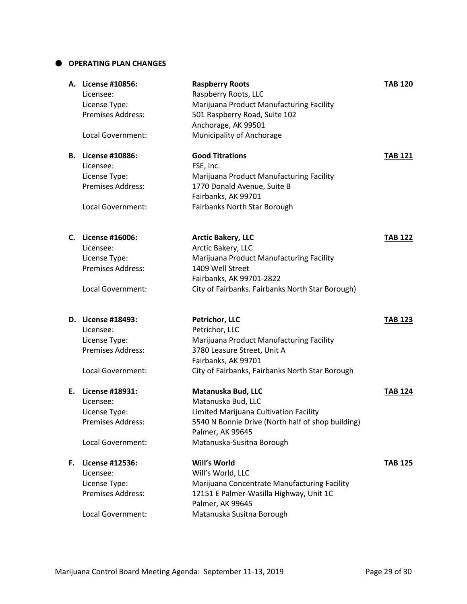### **OPERATING PLAN CHANGES**

|    | A. License #10856:        | <b>Raspberry Roots</b>                            | <b>TAB 120</b> |
|----|---------------------------|---------------------------------------------------|----------------|
|    | Licensee:                 | Raspberry Roots, LLC                              |                |
|    | License Type:             | Marijuana Product Manufacturing Facility          |                |
|    | <b>Premises Address:</b>  | 501 Raspberry Road, Suite 102                     |                |
|    |                           | Anchorage, AK 99501                               |                |
|    | Local Government:         | Municipality of Anchorage                         |                |
|    | <b>B.</b> License #10886: | <b>Good Titrations</b>                            | <b>TAB 121</b> |
|    | Licensee:                 | FSE, Inc.                                         |                |
|    | License Type:             | Marijuana Product Manufacturing Facility          |                |
|    | <b>Premises Address:</b>  | 1770 Donald Avenue, Suite B                       |                |
|    |                           | Fairbanks, AK 99701                               |                |
|    | Local Government:         | Fairbanks North Star Borough                      |                |
|    | C. License #16006:        | <b>Arctic Bakery, LLC</b>                         | <b>TAB 122</b> |
|    | Licensee:                 | Arctic Bakery, LLC                                |                |
|    | License Type:             | Marijuana Product Manufacturing Facility          |                |
|    | Premises Address:         | 1409 Well Street                                  |                |
|    |                           | Fairbanks, AK 99701-2822                          |                |
|    | Local Government:         | City of Fairbanks. Fairbanks North Star Borough)  |                |
|    | D. License #18493:        | Petrichor, LLC                                    | <b>TAB 123</b> |
|    | Licensee:                 | Petrichor, LLC                                    |                |
|    | License Type:             | Marijuana Product Manufacturing Facility          |                |
|    | Premises Address:         | 3780 Leasure Street, Unit A                       |                |
|    |                           | Fairbanks, AK 99701                               |                |
|    | Local Government:         |                                                   |                |
|    |                           | City of Fairbanks, Fairbanks North Star Borough   |                |
| Е. | License #18931:           | Matanuska Bud, LLC                                | <b>TAB 124</b> |
|    | Licensee:                 | Matanuska Bud, LLC                                |                |
|    | License Type:             | Limited Marijuana Cultivation Facility            |                |
|    | Premises Address:         | 5540 N Bonnie Drive (North half of shop building) |                |
|    |                           | Palmer, AK 99645                                  |                |
|    | Local Government:         | Matanuska-Susitna Borough                         |                |
| F. | License #12536:           | Will's World                                      | <b>TAB 125</b> |
|    | Licensee:                 | Will's World, LLC                                 |                |
|    | License Type:             | Marijuana Concentrate Manufacturing Facility      |                |
|    | Premises Address:         | 12151 E Palmer-Wasilla Highway, Unit 1C           |                |
|    |                           | Palmer, AK 99645                                  |                |
|    | Local Government:         | Matanuska Susitna Borough                         |                |